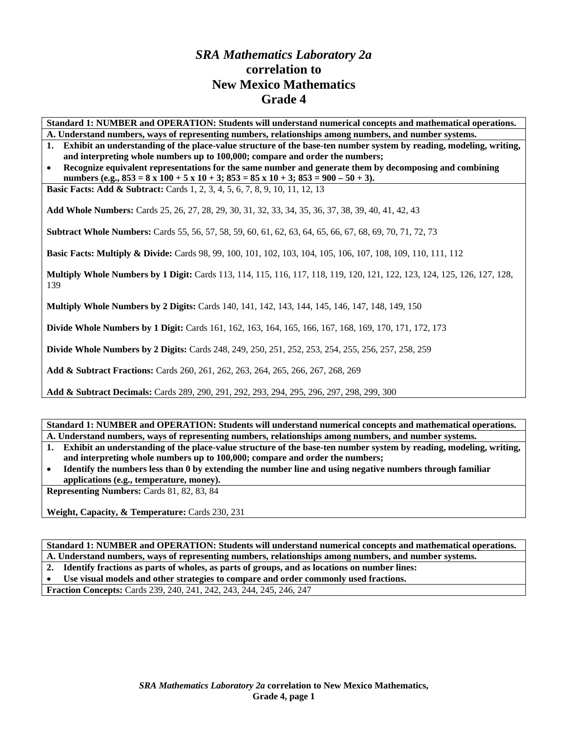# *SRA Mathematics Laboratory 2a*  **correlation to New Mexico Mathematics Grade 4**

**Standard 1: NUMBER and OPERATION: Students will understand numerical concepts and mathematical operations.** 

- **A. Understand numbers, ways of representing numbers, relationships among numbers, and number systems.**
- **1. Exhibit an understanding of the place-value structure of the base-ten number system by reading, modeling, writing, and interpreting whole numbers up to 100,000; compare and order the numbers;**

• **Recognize equivalent representations for the same number and generate them by decomposing and combining numbers (e.g., 853 = 8 x 100 + 5 x 10 + 3; 853 = 85 x 10 + 3; 853 = 900 – 50 + 3).** 

**Basic Facts: Add & Subtract:** Cards 1, 2, 3, 4, 5, 6, 7, 8, 9, 10, 11, 12, 13

**Add Whole Numbers:** Cards 25, 26, 27, 28, 29, 30, 31, 32, 33, 34, 35, 36, 37, 38, 39, 40, 41, 42, 43

**Subtract Whole Numbers:** Cards 55, 56, 57, 58, 59, 60, 61, 62, 63, 64, 65, 66, 67, 68, 69, 70, 71, 72, 73

**Basic Facts: Multiply & Divide:** Cards 98, 99, 100, 101, 102, 103, 104, 105, 106, 107, 108, 109, 110, 111, 112

**Multiply Whole Numbers by 1 Digit:** Cards 113, 114, 115, 116, 117, 118, 119, 120, 121, 122, 123, 124, 125, 126, 127, 128, 139

**Multiply Whole Numbers by 2 Digits:** Cards 140, 141, 142, 143, 144, 145, 146, 147, 148, 149, 150

**Divide Whole Numbers by 1 Digit:** Cards 161, 162, 163, 164, 165, 166, 167, 168, 169, 170, 171, 172, 173

**Divide Whole Numbers by 2 Digits:** Cards 248, 249, 250, 251, 252, 253, 254, 255, 256, 257, 258, 259

**Add & Subtract Fractions:** Cards 260, 261, 262, 263, 264, 265, 266, 267, 268, 269

**Add & Subtract Decimals:** Cards 289, 290, 291, 292, 293, 294, 295, 296, 297, 298, 299, 300

**Standard 1: NUMBER and OPERATION: Students will understand numerical concepts and mathematical operations. A. Understand numbers, ways of representing numbers, relationships among numbers, and number systems.** 

**1. Exhibit an understanding of the place-value structure of the base-ten number system by reading, modeling, writing, and interpreting whole numbers up to 100,000; compare and order the numbers;** 

• **Identify the numbers less than 0 by extending the number line and using negative numbers through familiar applications (e.g., temperature, money).** 

**Representing Numbers:** Cards 81, 82, 83, 84

**Weight, Capacity, & Temperature:** Cards 230, 231

**Standard 1: NUMBER and OPERATION: Students will understand numerical concepts and mathematical operations. A. Understand numbers, ways of representing numbers, relationships among numbers, and number systems.** 

**2. Identify fractions as parts of wholes, as parts of groups, and as locations on number lines:** 

• **Use visual models and other strategies to compare and order commonly used fractions.** 

**Fraction Concepts:** Cards 239, 240, 241, 242, 243, 244, 245, 246, 247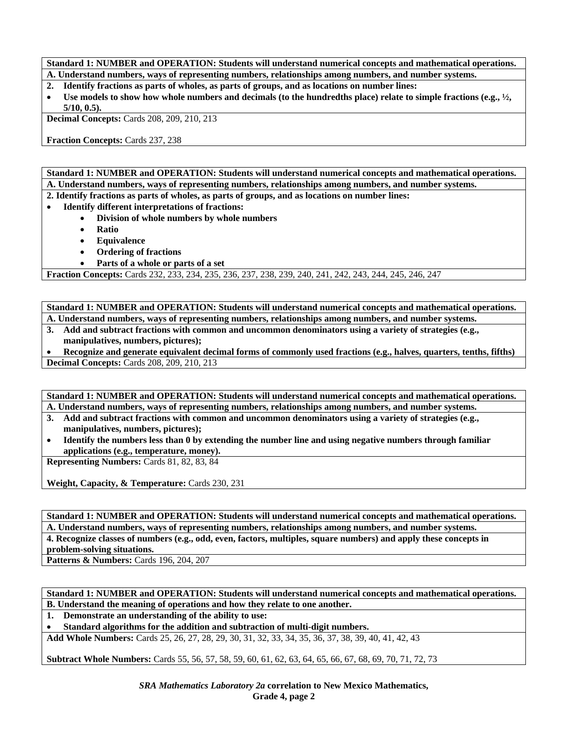**Standard 1: NUMBER and OPERATION: Students will understand numerical concepts and mathematical operations. A. Understand numbers, ways of representing numbers, relationships among numbers, and number systems.** 

- **2. Identify fractions as parts of wholes, as parts of groups, and as locations on number lines:**
- **Use models to show how whole numbers and decimals (to the hundredths place) relate to simple fractions (e.g., ½, 5/10, 0.5).**

**Decimal Concepts:** Cards 208, 209, 210, 213

**Fraction Concepts:** Cards 237, 238

**Standard 1: NUMBER and OPERATION: Students will understand numerical concepts and mathematical operations. A. Understand numbers, ways of representing numbers, relationships among numbers, and number systems.** 

**2. Identify fractions as parts of wholes, as parts of groups, and as locations on number lines:** 

- **Identify different interpretations of fractions:** 
	- **Division of whole numbers by whole numbers**
	- **Ratio**
	- **Equivalence**
	- **Ordering of fractions**
	- **Parts of a whole or parts of a set**

**Fraction Concepts:** Cards 232, 233, 234, 235, 236, 237, 238, 239, 240, 241, 242, 243, 244, 245, 246, 247

**Standard 1: NUMBER and OPERATION: Students will understand numerical concepts and mathematical operations. A. Understand numbers, ways of representing numbers, relationships among numbers, and number systems.** 

**3. Add and subtract fractions with common and uncommon denominators using a variety of strategies (e.g., manipulatives, numbers, pictures);** 

• **Recognize and generate equivalent decimal forms of commonly used fractions (e.g., halves, quarters, tenths, fifths) Decimal Concepts:** Cards 208, 209, 210, 213

**Standard 1: NUMBER and OPERATION: Students will understand numerical concepts and mathematical operations. A. Understand numbers, ways of representing numbers, relationships among numbers, and number systems.** 

- **3. Add and subtract fractions with common and uncommon denominators using a variety of strategies (e.g., manipulatives, numbers, pictures);**
- **Identify the numbers less than 0 by extending the number line and using negative numbers through familiar applications (e.g., temperature, money).**

**Representing Numbers:** Cards 81, 82, 83, 84

**Weight, Capacity, & Temperature:** Cards 230, 231

**Standard 1: NUMBER and OPERATION: Students will understand numerical concepts and mathematical operations. A. Understand numbers, ways of representing numbers, relationships among numbers, and number systems. 4. Recognize classes of numbers (e.g., odd, even, factors, multiples, square numbers) and apply these concepts in problem-solving situations.** 

**Patterns & Numbers:** Cards 196, 204, 207

**Standard 1: NUMBER and OPERATION: Students will understand numerical concepts and mathematical operations. B. Understand the meaning of operations and how they relate to one another.** 

**1. Demonstrate an understanding of the ability to use:** 

• **Standard algorithms for the addition and subtraction of multi-digit numbers.** 

**Add Whole Numbers:** Cards 25, 26, 27, 28, 29, 30, 31, 32, 33, 34, 35, 36, 37, 38, 39, 40, 41, 42, 43

**Subtract Whole Numbers:** Cards 55, 56, 57, 58, 59, 60, 61, 62, 63, 64, 65, 66, 67, 68, 69, 70, 71, 72, 73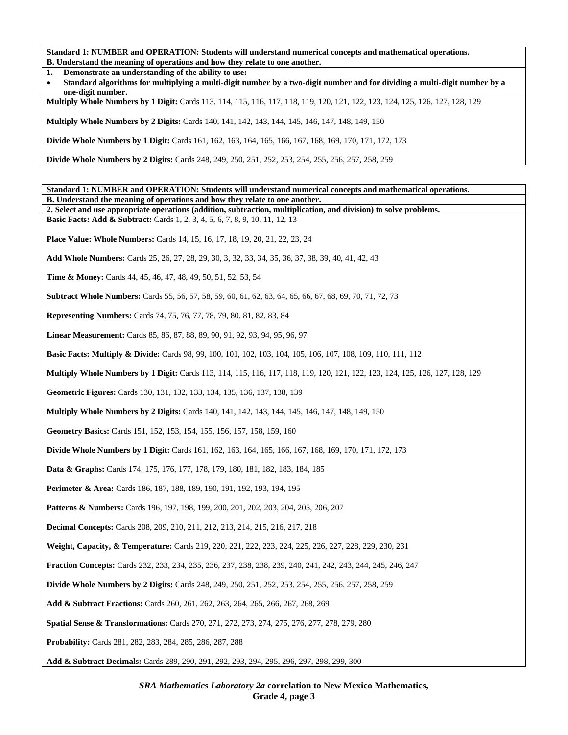**B. Understand the meaning of operations and how they relate to one another.** 

**1. Demonstrate an understanding of the ability to use:** 

| Standard algorithms for multiplying a multi-digit number by a two-digit number and for dividing a multi-digit number by a |
|---------------------------------------------------------------------------------------------------------------------------|
| one-digit number.                                                                                                         |

**Multiply Whole Numbers by 1 Digit:** Cards 113, 114, 115, 116, 117, 118, 119, 120, 121, 122, 123, 124, 125, 126, 127, 128, 129

**Multiply Whole Numbers by 2 Digits:** Cards 140, 141, 142, 143, 144, 145, 146, 147, 148, 149, 150

**Divide Whole Numbers by 1 Digit:** Cards 161, 162, 163, 164, 165, 166, 167, 168, 169, 170, 171, 172, 173

**Divide Whole Numbers by 2 Digits:** Cards 248, 249, 250, 251, 252, 253, 254, 255, 256, 257, 258, 259

**Standard 1: NUMBER and OPERATION: Students will understand numerical concepts and mathematical operations. B. Understand the meaning of operations and how they relate to one another. 2. Select and use appropriate operations (addition, subtraction, multiplication, and division) to solve problems. Basic Facts: Add & Subtract:** Cards 1, 2, 3, 4, 5, 6, 7, 8, 9, 10, 11, 12, 13 **Place Value: Whole Numbers:** Cards 14, 15, 16, 17, 18, 19, 20, 21, 22, 23, 24 **Add Whole Numbers:** Cards 25, 26, 27, 28, 29, 30, 3, 32, 33, 34, 35, 36, 37, 38, 39, 40, 41, 42, 43 **Time & Money:** Cards 44, 45, 46, 47, 48, 49, 50, 51, 52, 53, 54 **Subtract Whole Numbers:** Cards 55, 56, 57, 58, 59, 60, 61, 62, 63, 64, 65, 66, 67, 68, 69, 70, 71, 72, 73 **Representing Numbers:** Cards 74, 75, 76, 77, 78, 79, 80, 81, 82, 83, 84 **Linear Measurement:** Cards 85, 86, 87, 88, 89, 90, 91, 92, 93, 94, 95, 96, 97 **Basic Facts: Multiply & Divide:** Cards 98, 99, 100, 101, 102, 103, 104, 105, 106, 107, 108, 109, 110, 111, 112 **Multiply Whole Numbers by 1 Digit:** Cards 113, 114, 115, 116, 117, 118, 119, 120, 121, 122, 123, 124, 125, 126, 127, 128, 129 **Geometric Figures:** Cards 130, 131, 132, 133, 134, 135, 136, 137, 138, 139 **Multiply Whole Numbers by 2 Digits:** Cards 140, 141, 142, 143, 144, 145, 146, 147, 148, 149, 150 **Geometry Basics:** Cards 151, 152, 153, 154, 155, 156, 157, 158, 159, 160 **Divide Whole Numbers by 1 Digit:** Cards 161, 162, 163, 164, 165, 166, 167, 168, 169, 170, 171, 172, 173 **Data & Graphs:** Cards 174, 175, 176, 177, 178, 179, 180, 181, 182, 183, 184, 185 Perimeter & Area: Cards 186, 187, 188, 189, 190, 191, 192, 193, 194, 195 **Patterns & Numbers:** Cards 196, 197, 198, 199, 200, 201, 202, 203, 204, 205, 206, 207 **Decimal Concepts:** Cards 208, 209, 210, 211, 212, 213, 214, 215, 216, 217, 218 **Weight, Capacity, & Temperature:** Cards 219, 220, 221, 222, 223, 224, 225, 226, 227, 228, 229, 230, 231 **Fraction Concepts:** Cards 232, 233, 234, 235, 236, 237, 238, 238, 239, 240, 241, 242, 243, 244, 245, 246, 247 **Divide Whole Numbers by 2 Digits:** Cards 248, 249, 250, 251, 252, 253, 254, 255, 256, 257, 258, 259 **Add & Subtract Fractions:** Cards 260, 261, 262, 263, 264, 265, 266, 267, 268, 269 **Spatial Sense & Transformations:** Cards 270, 271, 272, 273, 274, 275, 276, 277, 278, 279, 280 **Probability:** Cards 281, 282, 283, 284, 285, 286, 287, 288 **Add & Subtract Decimals:** Cards 289, 290, 291, 292, 293, 294, 295, 296, 297, 298, 299, 300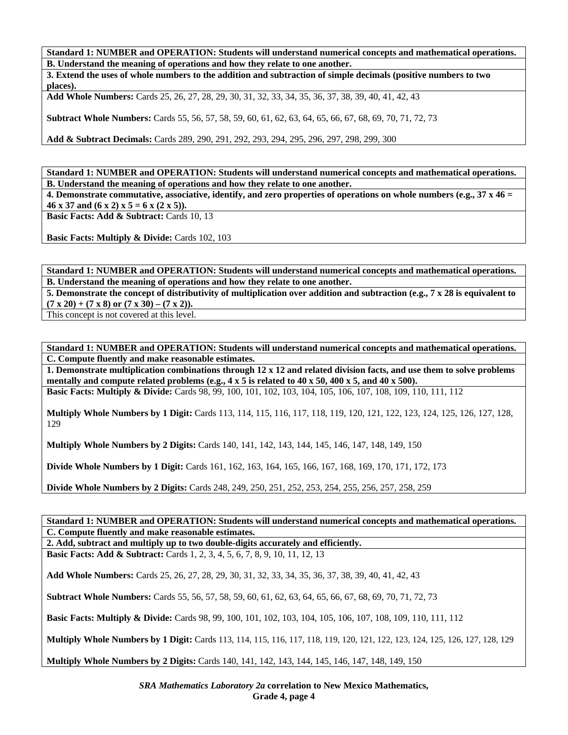**Standard 1: NUMBER and OPERATION: Students will understand numerical concepts and mathematical operations. B. Understand the meaning of operations and how they relate to one another.** 

**3. Extend the uses of whole numbers to the addition and subtraction of simple decimals (positive numbers to two places).** 

**Add Whole Numbers:** Cards 25, 26, 27, 28, 29, 30, 31, 32, 33, 34, 35, 36, 37, 38, 39, 40, 41, 42, 43

**Subtract Whole Numbers:** Cards 55, 56, 57, 58, 59, 60, 61, 62, 63, 64, 65, 66, 67, 68, 69, 70, 71, 72, 73

**Add & Subtract Decimals:** Cards 289, 290, 291, 292, 293, 294, 295, 296, 297, 298, 299, 300

**Standard 1: NUMBER and OPERATION: Students will understand numerical concepts and mathematical operations. B. Understand the meaning of operations and how they relate to one another.** 

**4. Demonstrate commutative, associative, identify, and zero properties of operations on whole numbers (e.g., 37 x 46 =**  46 x 37 and  $(6 \times 2) \times 5 = 6 \times (2 \times 5)$ .

**Basic Facts: Add & Subtract: Cards 10, 13** 

**Basic Facts: Multiply & Divide: Cards 102, 103** 

**Standard 1: NUMBER and OPERATION: Students will understand numerical concepts and mathematical operations. B. Understand the meaning of operations and how they relate to one another.** 

**5. Demonstrate the concept of distributivity of multiplication over addition and subtraction (e.g., 7 x 28 is equivalent to**   $(7 \times 20) + (7 \times 8)$  or  $(7 \times 30) - (7 \times 2)$ .

This concept is not covered at this level.

**Standard 1: NUMBER and OPERATION: Students will understand numerical concepts and mathematical operations. C. Compute fluently and make reasonable estimates.** 

**1. Demonstrate multiplication combinations through 12 x 12 and related division facts, and use them to solve problems**  mentally and compute related problems (e.g.,  $4 \times 5$  is related to  $40 \times 50$ ,  $400 \times 5$ , and  $40 \times 500$ ).

**Basic Facts: Multiply & Divide:** Cards 98, 99, 100, 101, 102, 103, 104, 105, 106, 107, 108, 109, 110, 111, 112

**Multiply Whole Numbers by 1 Digit:** Cards 113, 114, 115, 116, 117, 118, 119, 120, 121, 122, 123, 124, 125, 126, 127, 128, 129

**Multiply Whole Numbers by 2 Digits:** Cards 140, 141, 142, 143, 144, 145, 146, 147, 148, 149, 150

**Divide Whole Numbers by 1 Digit:** Cards 161, 162, 163, 164, 165, 166, 167, 168, 169, 170, 171, 172, 173

**Divide Whole Numbers by 2 Digits:** Cards 248, 249, 250, 251, 252, 253, 254, 255, 256, 257, 258, 259

**Standard 1: NUMBER and OPERATION: Students will understand numerical concepts and mathematical operations. C. Compute fluently and make reasonable estimates.** 

**2. Add, subtract and multiply up to two double-digits accurately and efficiently.** 

**Basic Facts: Add & Subtract:** Cards 1, 2, 3, 4, 5, 6, 7, 8, 9, 10, 11, 12, 13

**Add Whole Numbers:** Cards 25, 26, 27, 28, 29, 30, 31, 32, 33, 34, 35, 36, 37, 38, 39, 40, 41, 42, 43

**Subtract Whole Numbers:** Cards 55, 56, 57, 58, 59, 60, 61, 62, 63, 64, 65, 66, 67, 68, 69, 70, 71, 72, 73

**Basic Facts: Multiply & Divide:** Cards 98, 99, 100, 101, 102, 103, 104, 105, 106, 107, 108, 109, 110, 111, 112

**Multiply Whole Numbers by 1 Digit:** Cards 113, 114, 115, 116, 117, 118, 119, 120, 121, 122, 123, 124, 125, 126, 127, 128, 129

**Multiply Whole Numbers by 2 Digits:** Cards 140, 141, 142, 143, 144, 145, 146, 147, 148, 149, 150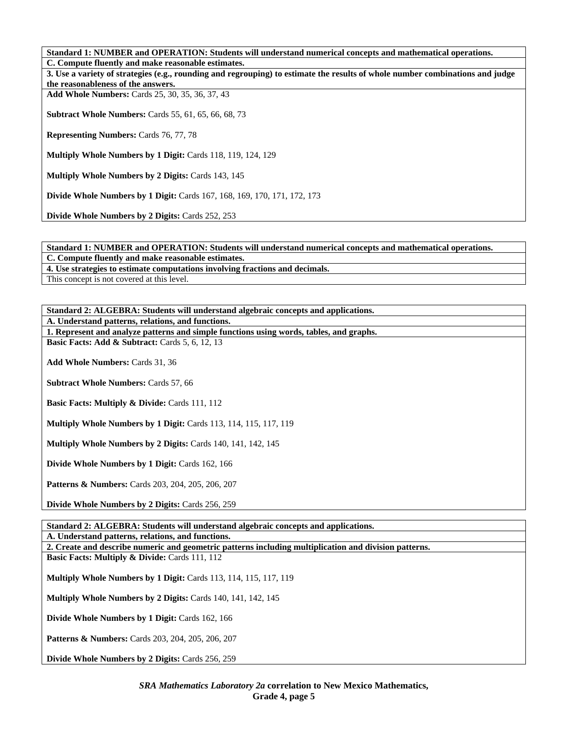**C. Compute fluently and make reasonable estimates. 3. Use a variety of strategies (e.g., rounding and regrouping) to estimate the results of whole number combinations and judge the reasonableness of the answers. Add Whole Numbers:** Cards 25, 30, 35, 36, 37, 43 **Subtract Whole Numbers:** Cards 55, 61, 65, 66, 68, 73 **Representing Numbers:** Cards 76, 77, 78 **Multiply Whole Numbers by 1 Digit:** Cards 118, 119, 124, 129 **Multiply Whole Numbers by 2 Digits:** Cards 143, 145 **Divide Whole Numbers by 1 Digit:** Cards 167, 168, 169, 170, 171, 172, 173

**Divide Whole Numbers by 2 Digits:** Cards 252, 253

**Standard 1: NUMBER and OPERATION: Students will understand numerical concepts and mathematical operations.** 

**C. Compute fluently and make reasonable estimates.** 

**4. Use strategies to estimate computations involving fractions and decimals.** 

This concept is not covered at this level.

**Standard 2: ALGEBRA: Students will understand algebraic concepts and applications.** 

**A. Understand patterns, relations, and functions.** 

**1. Represent and analyze patterns and simple functions using words, tables, and graphs.** 

**Basic Facts: Add & Subtract: Cards 5, 6, 12, 13** 

**Add Whole Numbers:** Cards 31, 36

**Subtract Whole Numbers:** Cards 57, 66

**Basic Facts: Multiply & Divide: Cards 111, 112** 

**Multiply Whole Numbers by 1 Digit:** Cards 113, 114, 115, 117, 119

**Multiply Whole Numbers by 2 Digits:** Cards 140, 141, 142, 145

**Divide Whole Numbers by 1 Digit:** Cards 162, 166

**Patterns & Numbers:** Cards 203, 204, 205, 206, 207

**Divide Whole Numbers by 2 Digits:** Cards 256, 259

**Standard 2: ALGEBRA: Students will understand algebraic concepts and applications.** 

**A. Understand patterns, relations, and functions.** 

**2. Create and describe numeric and geometric patterns including multiplication and division patterns.** 

**Basic Facts: Multiply & Divide: Cards 111, 112** 

**Multiply Whole Numbers by 1 Digit:** Cards 113, 114, 115, 117, 119

**Multiply Whole Numbers by 2 Digits:** Cards 140, 141, 142, 145

**Divide Whole Numbers by 1 Digit:** Cards 162, 166

**Patterns & Numbers:** Cards 203, 204, 205, 206, 207

**Divide Whole Numbers by 2 Digits:** Cards 256, 259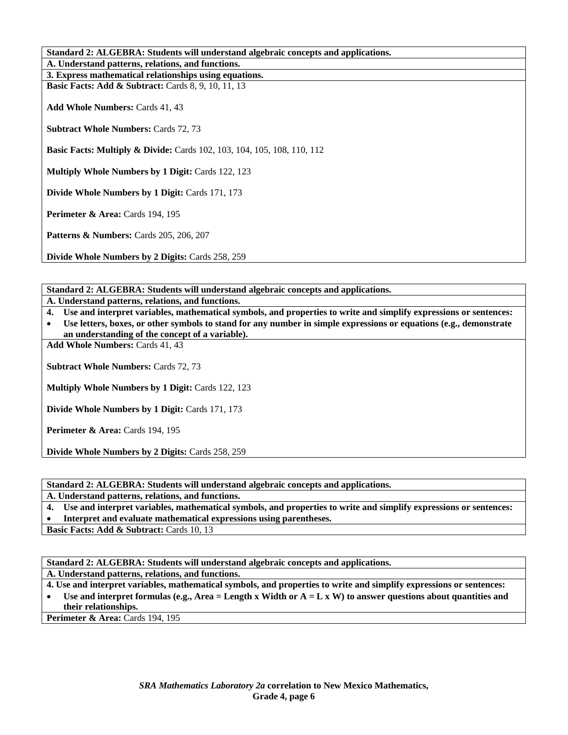| Standard 2: ALGEBRA: Students will understand algebraic concepts and applications. |  |
|------------------------------------------------------------------------------------|--|
| A. Understand patterns, relations, and functions.                                  |  |
| 3. Express mathematical relationships using equations.                             |  |
| <b>Basic Facts: Add &amp; Subtract:</b> Cards 8, 9, 10, 11, 13                     |  |
| <b>Add Whole Numbers: Cards 41, 43</b>                                             |  |
| <b>Subtract Whole Numbers: Cards 72, 73</b>                                        |  |
| <b>Basic Facts: Multiply &amp; Divide:</b> Cards 102, 103, 104, 105, 108, 110, 112 |  |
| <b>Multiply Whole Numbers by 1 Digit: Cards 122, 123</b>                           |  |
| Divide Whole Numbers by 1 Digit: Cards 171, 173                                    |  |
| <b>Perimeter &amp; Area: Cards 194, 195</b>                                        |  |
| <b>Patterns &amp; Numbers: Cards 205, 206, 207</b>                                 |  |
| Divide Whole Numbers by 2 Digits: Cards 258, 259                                   |  |

**Standard 2: ALGEBRA: Students will understand algebraic concepts and applications.** 

**A. Understand patterns, relations, and functions.** 

**4. Use and interpret variables, mathematical symbols, and properties to write and simplify expressions or sentences:** 

• **Use letters, boxes, or other symbols to stand for any number in simple expressions or equations (e.g., demonstrate an understanding of the concept of a variable).** 

**Add Whole Numbers:** Cards 41, 43

**Subtract Whole Numbers:** Cards 72, 73

**Multiply Whole Numbers by 1 Digit:** Cards 122, 123

**Divide Whole Numbers by 1 Digit:** Cards 171, 173

**Perimeter & Area: Cards 194, 195** 

**Divide Whole Numbers by 2 Digits:** Cards 258, 259

**Standard 2: ALGEBRA: Students will understand algebraic concepts and applications.** 

**A. Understand patterns, relations, and functions.** 

**4. Use and interpret variables, mathematical symbols, and properties to write and simplify expressions or sentences:** 

• **Interpret and evaluate mathematical expressions using parentheses.** 

**Basic Facts: Add & Subtract: Cards 10, 13** 

**Standard 2: ALGEBRA: Students will understand algebraic concepts and applications.** 

**A. Understand patterns, relations, and functions.** 

**4. Use and interpret variables, mathematical symbols, and properties to write and simplify expressions or sentences:** 

• **Use and interpret formulas (e.g., Area = Length x Width or A = L x W) to answer questions about quantities and their relationships.** 

**Perimeter & Area: Cards 194, 195**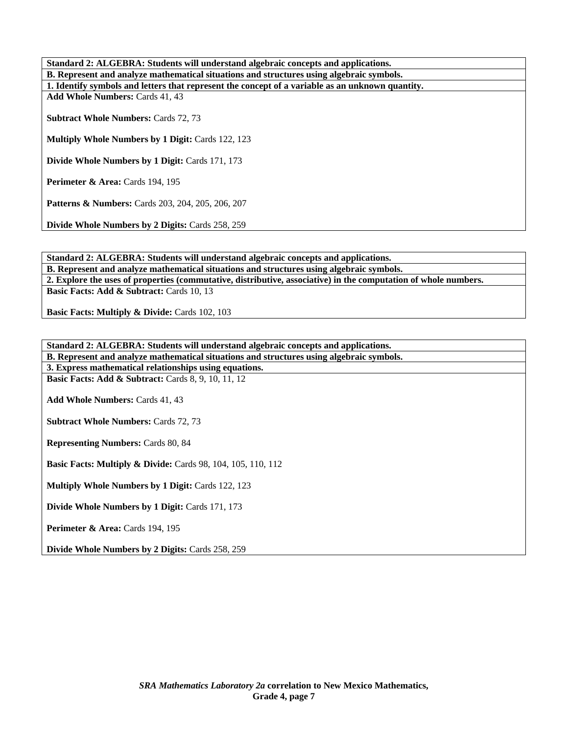| Standard 2: ALGEBRA: Students will understand algebraic concepts and applications.               |  |
|--------------------------------------------------------------------------------------------------|--|
| B. Represent and analyze mathematical situations and structures using algebraic symbols.         |  |
| 1. Identify symbols and letters that represent the concept of a variable as an unknown quantity. |  |
| <b>Add Whole Numbers: Cards 41, 43</b>                                                           |  |
| <b>Subtract Whole Numbers: Cards 72, 73</b>                                                      |  |
| <b>Multiply Whole Numbers by 1 Digit: Cards 122, 123</b>                                         |  |
| <b>Divide Whole Numbers by 1 Digit: Cards 171, 173</b>                                           |  |
| <b>Perimeter &amp; Area: Cards 194, 195</b>                                                      |  |
| <b>Patterns &amp; Numbers:</b> Cards 203, 204, 205, 206, 207                                     |  |
| <b>Divide Whole Numbers by 2 Digits: Cards 258, 259</b>                                          |  |

**Standard 2: ALGEBRA: Students will understand algebraic concepts and applications. B. Represent and analyze mathematical situations and structures using algebraic symbols. 2. Explore the uses of properties (commutative, distributive, associative) in the computation of whole numbers.**  Basic Facts: Add & Subtract: Cards 10, 13

**Basic Facts: Multiply & Divide: Cards 102, 103** 

| Standard 2: ALGEBRA: Students will understand algebraic concepts and applications.       |
|------------------------------------------------------------------------------------------|
| B. Represent and analyze mathematical situations and structures using algebraic symbols. |
| 3. Express mathematical relationships using equations.                                   |
| <b>Basic Facts: Add &amp; Subtract:</b> Cards 8, 9, 10, 11, 12                           |
|                                                                                          |
| <b>Add Whole Numbers: Cards 41, 43</b>                                                   |
|                                                                                          |
| <b>Subtract Whole Numbers: Cards 72, 73</b>                                              |
|                                                                                          |
| <b>Representing Numbers: Cards 80, 84</b>                                                |
|                                                                                          |
| <b>Basic Facts: Multiply &amp; Divide:</b> Cards 98, 104, 105, 110, 112                  |
|                                                                                          |
| <b>Multiply Whole Numbers by 1 Digit: Cards 122, 123</b>                                 |
|                                                                                          |
| Divide Whole Numbers by 1 Digit: Cards 171, 173                                          |
|                                                                                          |
| <b>Perimeter &amp; Area: Cards 194, 195</b>                                              |
|                                                                                          |
| <b>Divide Whole Numbers by 2 Digits: Cards 258, 259</b>                                  |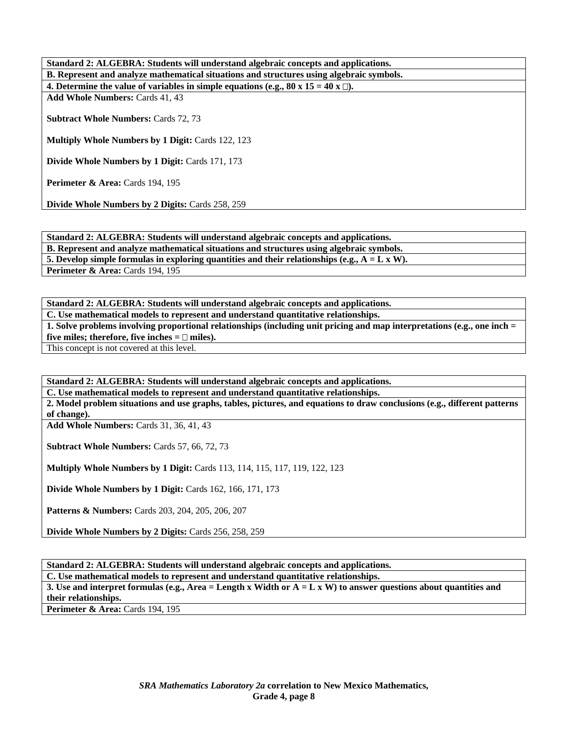| Standard 2: ALGEBRA: Students will understand algebraic concepts and applications.       |
|------------------------------------------------------------------------------------------|
| B. Represent and analyze mathematical situations and structures using algebraic symbols. |
| 4. Determine the value of variables in simple equations (e.g., 80 x 15 = 40 x $\Box$ ).  |
| <b>Add Whole Numbers: Cards 41, 43</b>                                                   |
|                                                                                          |
| <b>Subtract Whole Numbers: Cards 72, 73</b>                                              |
|                                                                                          |
| <b>Multiply Whole Numbers by 1 Digit: Cards 122, 123</b>                                 |
|                                                                                          |
| <b>Divide Whole Numbers by 1 Digit: Cards 171, 173</b>                                   |
|                                                                                          |
| <b>Perimeter &amp; Area:</b> Cards $194, 195$                                            |
|                                                                                          |
| <b>Divide Whole Numbers by 2 Digits: Cards 258, 259</b>                                  |

**Standard 2: ALGEBRA: Students will understand algebraic concepts and applications. B. Represent and analyze mathematical situations and structures using algebraic symbols. 5. Develop simple formulas in exploring quantities and their relationships (e.g.,**  $A = L \times W$ **). Perimeter & Area: Cards 194, 195** 

**Standard 2: ALGEBRA: Students will understand algebraic concepts and applications. C. Use mathematical models to represent and understand quantitative relationships. 1. Solve problems involving proportional relationships (including unit pricing and map interpretations (e.g., one inch =**  five miles; therefore, five inches  $= \Box$  miles). This concept is not covered at this level.

**Standard 2: ALGEBRA: Students will understand algebraic concepts and applications.** 

**C. Use mathematical models to represent and understand quantitative relationships.** 

**2. Model problem situations and use graphs, tables, pictures, and equations to draw conclusions (e.g., different patterns of change).** 

**Add Whole Numbers:** Cards 31, 36, 41, 43

**Subtract Whole Numbers:** Cards 57, 66, 72, 73

**Multiply Whole Numbers by 1 Digit:** Cards 113, 114, 115, 117, 119, 122, 123

**Divide Whole Numbers by 1 Digit:** Cards 162, 166, 171, 173

**Patterns & Numbers:** Cards 203, 204, 205, 206, 207

**Divide Whole Numbers by 2 Digits:** Cards 256, 258, 259

**Standard 2: ALGEBRA: Students will understand algebraic concepts and applications.** 

**C. Use mathematical models to represent and understand quantitative relationships.** 

**3. Use and interpret formulas (e.g., Area = Length x Width or A = L x W) to answer questions about quantities and their relationships.** 

**Perimeter & Area: Cards 194, 195**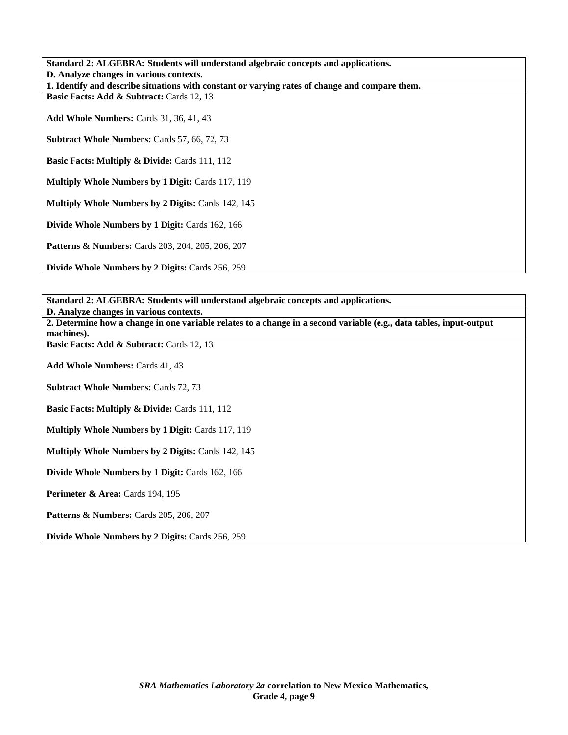| Standard 2: ALGEBRA: Students will understand algebraic concepts and applications.             |
|------------------------------------------------------------------------------------------------|
| D. Analyze changes in various contexts.                                                        |
| 1. Identify and describe situations with constant or varying rates of change and compare them. |
| <b>Basic Facts: Add &amp; Subtract: Cards 12, 13</b>                                           |
| <b>Add Whole Numbers: Cards 31, 36, 41, 43</b>                                                 |
| Subtract Whole Numbers: Cards 57, 66, 72, 73                                                   |
| <b>Basic Facts: Multiply &amp; Divide: Cards 111, 112</b>                                      |
| <b>Multiply Whole Numbers by 1 Digit: Cards 117, 119</b>                                       |
| <b>Multiply Whole Numbers by 2 Digits: Cards 142, 145</b>                                      |
| Divide Whole Numbers by 1 Digit: Cards 162, 166                                                |
| <b>Patterns &amp; Numbers:</b> Cards 203, 204, 205, 206, 207                                   |
| Divide Whole Numbers by 2 Digits: Cards 256, 259                                               |

| Standard 2: ALGEBRA: Students will understand algebraic concepts and applications.                                  |
|---------------------------------------------------------------------------------------------------------------------|
| D. Analyze changes in various contexts.                                                                             |
| 2. Determine how a change in one variable relates to a change in a second variable (e.g., data tables, input-output |
| machines).                                                                                                          |
| Basic Facts: Add & Subtract: Cards 12, 13                                                                           |
| <b>Add Whole Numbers: Cards 41, 43</b>                                                                              |
| <b>Subtract Whole Numbers: Cards 72, 73</b>                                                                         |
| <b>Basic Facts: Multiply &amp; Divide: Cards 111, 112</b>                                                           |
| <b>Multiply Whole Numbers by 1 Digit: Cards 117, 119</b>                                                            |
| <b>Multiply Whole Numbers by 2 Digits: Cards 142, 145</b>                                                           |
| Divide Whole Numbers by 1 Digit: Cards 162, 166                                                                     |
| Perimeter & Area: Cards 194, 195                                                                                    |
| <b>Patterns &amp; Numbers:</b> Cards 205, 206, 207                                                                  |
| <b>Divide Whole Numbers by 2 Digits: Cards 256, 259</b>                                                             |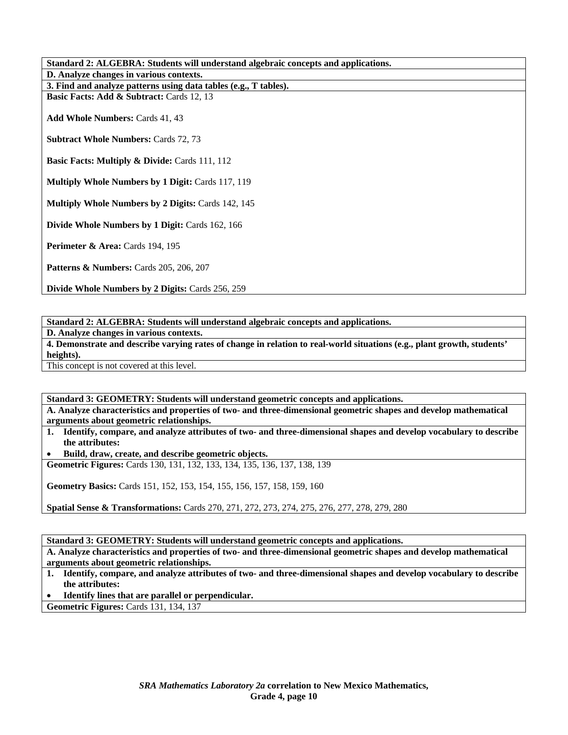| Standard 2: ALGEBRA: Students will understand algebraic concepts and applications. |  |
|------------------------------------------------------------------------------------|--|
| D. Analyze changes in various contexts.                                            |  |
| 3. Find and analyze patterns using data tables (e.g., T tables).                   |  |
| Basic Facts: Add & Subtract: Cards 12, 13                                          |  |
| <b>Add Whole Numbers: Cards 41, 43</b>                                             |  |
| <b>Subtract Whole Numbers: Cards 72, 73</b>                                        |  |
| <b>Basic Facts: Multiply &amp; Divide: Cards 111, 112</b>                          |  |
| <b>Multiply Whole Numbers by 1 Digit: Cards 117, 119</b>                           |  |
| <b>Multiply Whole Numbers by 2 Digits: Cards 142, 145</b>                          |  |
| Divide Whole Numbers by 1 Digit: Cards 162, 166                                    |  |
| <b>Perimeter &amp; Area:</b> Cards $194, 195$                                      |  |
| Patterns & Numbers: Cards 205, 206, 207                                            |  |
|                                                                                    |  |

**Divide Whole Numbers by 2 Digits:** Cards 256, 259

**Standard 2: ALGEBRA: Students will understand algebraic concepts and applications.** 

**D. Analyze changes in various contexts.** 

**4. Demonstrate and describe varying rates of change in relation to real-world situations (e.g., plant growth, students' heights).** 

This concept is not covered at this level.

**Standard 3: GEOMETRY: Students will understand geometric concepts and applications.** 

**A. Analyze characteristics and properties of two- and three-dimensional geometric shapes and develop mathematical arguments about geometric relationships.** 

**1. Identify, compare, and analyze attributes of two- and three-dimensional shapes and develop vocabulary to describe the attributes:** 

• **Build, draw, create, and describe geometric objects.** 

**Geometric Figures:** Cards 130, 131, 132, 133, 134, 135, 136, 137, 138, 139

**Geometry Basics:** Cards 151, 152, 153, 154, 155, 156, 157, 158, 159, 160

**Spatial Sense & Transformations:** Cards 270, 271, 272, 273, 274, 275, 276, 277, 278, 279, 280

**Standard 3: GEOMETRY: Students will understand geometric concepts and applications.** 

**A. Analyze characteristics and properties of two- and three-dimensional geometric shapes and develop mathematical arguments about geometric relationships.** 

**1. Identify, compare, and analyze attributes of two- and three-dimensional shapes and develop vocabulary to describe the attributes:** 

• **Identify lines that are parallel or perpendicular.** 

**Geometric Figures:** Cards 131, 134, 137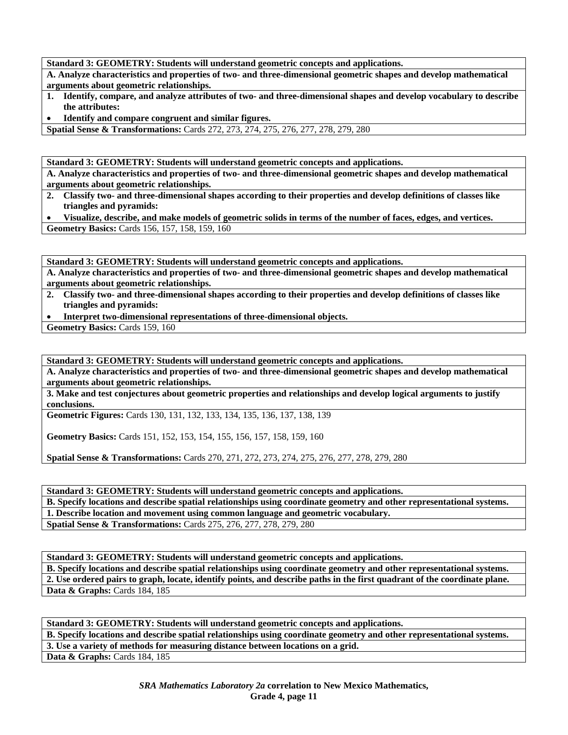**Standard 3: GEOMETRY: Students will understand geometric concepts and applications.** 

**A. Analyze characteristics and properties of two- and three-dimensional geometric shapes and develop mathematical arguments about geometric relationships.** 

**1. Identify, compare, and analyze attributes of two- and three-dimensional shapes and develop vocabulary to describe the attributes:** 

• **Identify and compare congruent and similar figures.** 

**Spatial Sense & Transformations:** Cards 272, 273, 274, 275, 276, 277, 278, 279, 280

**Standard 3: GEOMETRY: Students will understand geometric concepts and applications.** 

**A. Analyze characteristics and properties of two- and three-dimensional geometric shapes and develop mathematical arguments about geometric relationships.** 

**2. Classify two- and three-dimensional shapes according to their properties and develop definitions of classes like triangles and pyramids:** 

• **Visualize, describe, and make models of geometric solids in terms of the number of faces, edges, and vertices. Geometry Basics:** Cards 156, 157, 158, 159, 160

**Standard 3: GEOMETRY: Students will understand geometric concepts and applications.** 

**A. Analyze characteristics and properties of two- and three-dimensional geometric shapes and develop mathematical arguments about geometric relationships.** 

- **2. Classify two- and three-dimensional shapes according to their properties and develop definitions of classes like triangles and pyramids:**
- **Interpret two-dimensional representations of three-dimensional objects.**

Geometry Basics: Cards 159, 160

**Standard 3: GEOMETRY: Students will understand geometric concepts and applications.** 

**A. Analyze characteristics and properties of two- and three-dimensional geometric shapes and develop mathematical arguments about geometric relationships.** 

**3. Make and test conjectures about geometric properties and relationships and develop logical arguments to justify conclusions.** 

**Geometric Figures:** Cards 130, 131, 132, 133, 134, 135, 136, 137, 138, 139

**Geometry Basics:** Cards 151, 152, 153, 154, 155, 156, 157, 158, 159, 160

**Spatial Sense & Transformations:** Cards 270, 271, 272, 273, 274, 275, 276, 277, 278, 279, 280

**Standard 3: GEOMETRY: Students will understand geometric concepts and applications. B. Specify locations and describe spatial relationships using coordinate geometry and other representational systems. 1. Describe location and movement using common language and geometric vocabulary. Spatial Sense & Transformations:** Cards 275, 276, 277, 278, 279, 280

**Standard 3: GEOMETRY: Students will understand geometric concepts and applications.** 

**B. Specify locations and describe spatial relationships using coordinate geometry and other representational systems. 2. Use ordered pairs to graph, locate, identify points, and describe paths in the first quadrant of the coordinate plane. Data & Graphs: Cards 184, 185** 

**Standard 3: GEOMETRY: Students will understand geometric concepts and applications. B. Specify locations and describe spatial relationships using coordinate geometry and other representational systems. 3. Use a variety of methods for measuring distance between locations on a grid. Data & Graphs: Cards 184, 185**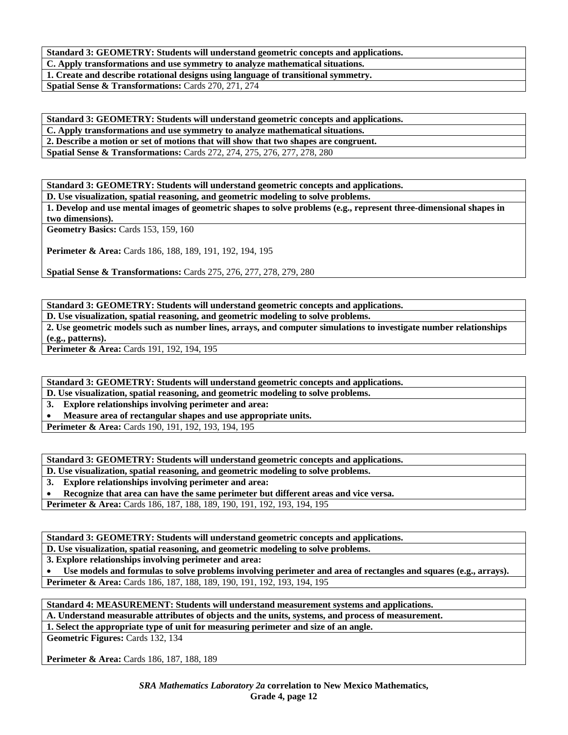**Standard 3: GEOMETRY: Students will understand geometric concepts and applications. C. Apply transformations and use symmetry to analyze mathematical situations.** 

**1. Create and describe rotational designs using language of transitional symmetry. Spatial Sense & Transformations:** Cards 270, 271, 274

**Standard 3: GEOMETRY: Students will understand geometric concepts and applications.** 

**C. Apply transformations and use symmetry to analyze mathematical situations.** 

**2. Describe a motion or set of motions that will show that two shapes are congruent.** 

**Spatial Sense & Transformations:** Cards 272, 274, 275, 276, 277, 278, 280

**Standard 3: GEOMETRY: Students will understand geometric concepts and applications.** 

**D. Use visualization, spatial reasoning, and geometric modeling to solve problems.** 

**1. Develop and use mental images of geometric shapes to solve problems (e.g., represent three-dimensional shapes in two dimensions).** 

**Geometry Basics:** Cards 153, 159, 160

**Perimeter & Area:** Cards 186, 188, 189, 191, 192, 194, 195

**Spatial Sense & Transformations:** Cards 275, 276, 277, 278, 279, 280

**Standard 3: GEOMETRY: Students will understand geometric concepts and applications.** 

**D. Use visualization, spatial reasoning, and geometric modeling to solve problems.** 

**2. Use geometric models such as number lines, arrays, and computer simulations to investigate number relationships (e.g., patterns). Perimeter & Area:** Cards 191, 192, 194, 195

**Standard 3: GEOMETRY: Students will understand geometric concepts and applications.** 

**D. Use visualization, spatial reasoning, and geometric modeling to solve problems.** 

**3. Explore relationships involving perimeter and area:** 

• **Measure area of rectangular shapes and use appropriate units.** 

**Perimeter & Area:** Cards 190, 191, 192, 193, 194, 195

**Standard 3: GEOMETRY: Students will understand geometric concepts and applications.** 

**D. Use visualization, spatial reasoning, and geometric modeling to solve problems.** 

**3. Explore relationships involving perimeter and area:** 

• **Recognize that area can have the same perimeter but different areas and vice versa.** 

**Perimeter & Area:** Cards 186, 187, 188, 189, 190, 191, 192, 193, 194, 195

**Standard 3: GEOMETRY: Students will understand geometric concepts and applications.** 

**D. Use visualization, spatial reasoning, and geometric modeling to solve problems.** 

**3. Explore relationships involving perimeter and area:** 

• **Use models and formulas to solve problems involving perimeter and area of rectangles and squares (e.g., arrays).**  Perimeter & Area: Cards 186, 187, 188, 189, 190, 191, 192, 193, 194, 195

**Standard 4: MEASUREMENT: Students will understand measurement systems and applications.** 

**A. Understand measurable attributes of objects and the units, systems, and process of measurement.** 

**1. Select the appropriate type of unit for measuring perimeter and size of an angle.** 

**Geometric Figures:** Cards 132, 134

**Perimeter & Area:** Cards 186, 187, 188, 189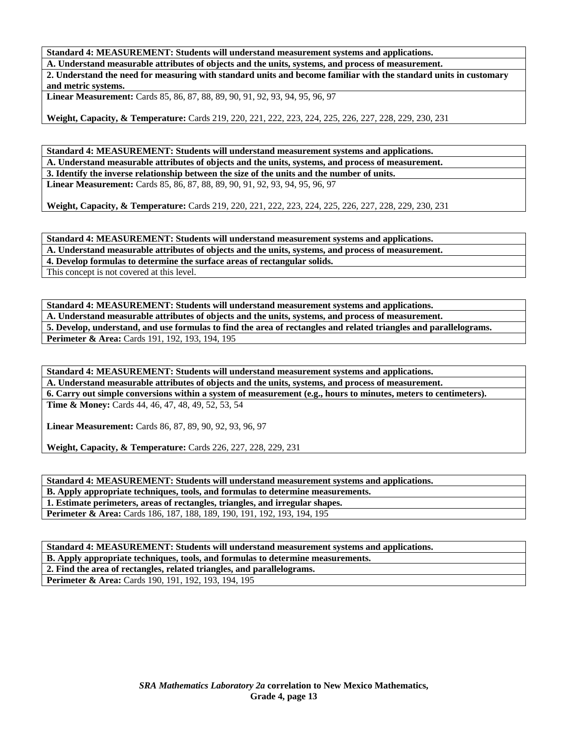**Standard 4: MEASUREMENT: Students will understand measurement systems and applications.** 

**A. Understand measurable attributes of objects and the units, systems, and process of measurement.** 

**2. Understand the need for measuring with standard units and become familiar with the standard units in customary and metric systems.** 

**Linear Measurement:** Cards 85, 86, 87, 88, 89, 90, 91, 92, 93, 94, 95, 96, 97

**Weight, Capacity, & Temperature:** Cards 219, 220, 221, 222, 223, 224, 225, 226, 227, 228, 229, 230, 231

**Standard 4: MEASUREMENT: Students will understand measurement systems and applications. A. Understand measurable attributes of objects and the units, systems, and process of measurement. 3. Identify the inverse relationship between the size of the units and the number of units. Linear Measurement:** Cards 85, 86, 87, 88, 89, 90, 91, 92, 93, 94, 95, 96, 97

**Weight, Capacity, & Temperature:** Cards 219, 220, 221, 222, 223, 224, 225, 226, 227, 228, 229, 230, 231

**Standard 4: MEASUREMENT: Students will understand measurement systems and applications. A. Understand measurable attributes of objects and the units, systems, and process of measurement.** 

**4. Develop formulas to determine the surface areas of rectangular solids.** 

This concept is not covered at this level.

**Standard 4: MEASUREMENT: Students will understand measurement systems and applications. A. Understand measurable attributes of objects and the units, systems, and process of measurement. 5. Develop, understand, and use formulas to find the area of rectangles and related triangles and parallelograms.**  Perimeter & Area: Cards 191, 192, 193, 194, 195

**Standard 4: MEASUREMENT: Students will understand measurement systems and applications. A. Understand measurable attributes of objects and the units, systems, and process of measurement. 6. Carry out simple conversions within a system of measurement (e.g., hours to minutes, meters to centimeters).** 

**Time & Money:** Cards 44, 46, 47, 48, 49, 52, 53, 54

**Linear Measurement:** Cards 86, 87, 89, 90, 92, 93, 96, 97

**Weight, Capacity, & Temperature:** Cards 226, 227, 228, 229, 231

**Standard 4: MEASUREMENT: Students will understand measurement systems and applications.** 

**B. Apply appropriate techniques, tools, and formulas to determine measurements.** 

**1. Estimate perimeters, areas of rectangles, triangles, and irregular shapes.** 

**Perimeter & Area:** Cards 186, 187, 188, 189, 190, 191, 192, 193, 194, 195

**Standard 4: MEASUREMENT: Students will understand measurement systems and applications.** 

**B. Apply appropriate techniques, tools, and formulas to determine measurements. 2. Find the area of rectangles, related triangles, and parallelograms.** 

**Perimeter & Area:** Cards 190, 191, 192, 193, 194, 195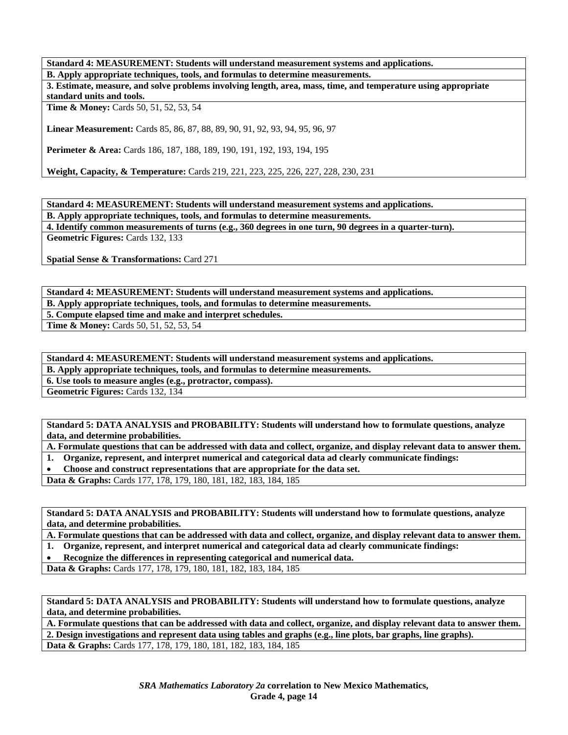**Standard 4: MEASUREMENT: Students will understand measurement systems and applications.** 

**B. Apply appropriate techniques, tools, and formulas to determine measurements.** 

**3. Estimate, measure, and solve problems involving length, area, mass, time, and temperature using appropriate standard units and tools.** 

**Time & Money:** Cards 50, 51, 52, 53, 54

**Linear Measurement:** Cards 85, 86, 87, 88, 89, 90, 91, 92, 93, 94, 95, 96, 97

**Perimeter & Area:** Cards 186, 187, 188, 189, 190, 191, 192, 193, 194, 195

**Weight, Capacity, & Temperature:** Cards 219, 221, 223, 225, 226, 227, 228, 230, 231

**Standard 4: MEASUREMENT: Students will understand measurement systems and applications.** 

**B. Apply appropriate techniques, tools, and formulas to determine measurements.** 

**4. Identify common measurements of turns (e.g., 360 degrees in one turn, 90 degrees in a quarter-turn). Geometric Figures:** Cards 132, 133

**Spatial Sense & Transformations:** Card 271

**Standard 4: MEASUREMENT: Students will understand measurement systems and applications. B. Apply appropriate techniques, tools, and formulas to determine measurements. 5. Compute elapsed time and make and interpret schedules. Time & Money:** Cards 50, 51, 52, 53, 54

**Standard 4: MEASUREMENT: Students will understand measurement systems and applications.** 

**B. Apply appropriate techniques, tools, and formulas to determine measurements.** 

**6. Use tools to measure angles (e.g., protractor, compass).** 

**Geometric Figures:** Cards 132, 134

**Standard 5: DATA ANALYSIS and PROBABILITY: Students will understand how to formulate questions, analyze data, and determine probabilities.** 

**A. Formulate questions that can be addressed with data and collect, organize, and display relevant data to answer them.** 

**1. Organize, represent, and interpret numerical and categorical data ad clearly communicate findings:** 

• **Choose and construct representations that are appropriate for the data set.** 

**Data & Graphs:** Cards 177, 178, 179, 180, 181, 182, 183, 184, 185

**Standard 5: DATA ANALYSIS and PROBABILITY: Students will understand how to formulate questions, analyze data, and determine probabilities.** 

**A. Formulate questions that can be addressed with data and collect, organize, and display relevant data to answer them.** 

**1. Organize, represent, and interpret numerical and categorical data ad clearly communicate findings:** 

• **Recognize the differences in representing categorical and numerical data.** 

**Data & Graphs:** Cards 177, 178, 179, 180, 181, 182, 183, 184, 185

**Standard 5: DATA ANALYSIS and PROBABILITY: Students will understand how to formulate questions, analyze data, and determine probabilities.** 

**A. Formulate questions that can be addressed with data and collect, organize, and display relevant data to answer them. 2. Design investigations and represent data using tables and graphs (e.g., line plots, bar graphs, line graphs). Data & Graphs:** Cards 177, 178, 179, 180, 181, 182, 183, 184, 185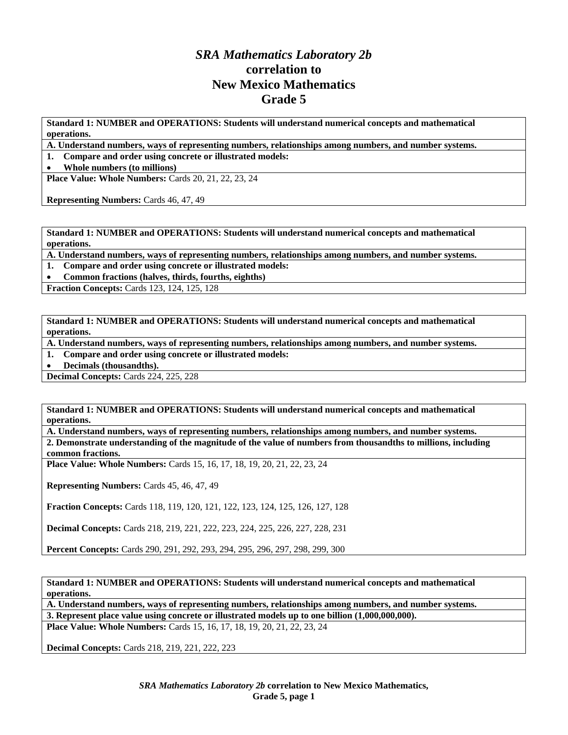# *SRA Mathematics Laboratory 2b*  **correlation to New Mexico Mathematics Grade 5**

**Standard 1: NUMBER and OPERATIONS: Students will understand numerical concepts and mathematical operations.** 

**A. Understand numbers, ways of representing numbers, relationships among numbers, and number systems.** 

**1. Compare and order using concrete or illustrated models:** 

• **Whole numbers (to millions)** 

**Place Value: Whole Numbers:** Cards 20, 21, 22, 23, 24

**Representing Numbers:** Cards 46, 47, 49

**Standard 1: NUMBER and OPERATIONS: Students will understand numerical concepts and mathematical operations.** 

**A. Understand numbers, ways of representing numbers, relationships among numbers, and number systems.** 

**1. Compare and order using concrete or illustrated models:** 

• **Common fractions (halves, thirds, fourths, eighths)** 

**Fraction Concepts:** Cards 123, 124, 125, 128

**Standard 1: NUMBER and OPERATIONS: Students will understand numerical concepts and mathematical operations.** 

**A. Understand numbers, ways of representing numbers, relationships among numbers, and number systems.** 

**1. Compare and order using concrete or illustrated models:** 

• **Decimals (thousandths).** 

**Decimal Concepts:** Cards 224, 225, 228

**Standard 1: NUMBER and OPERATIONS: Students will understand numerical concepts and mathematical operations.** 

**A. Understand numbers, ways of representing numbers, relationships among numbers, and number systems. 2. Demonstrate understanding of the magnitude of the value of numbers from thousandths to millions, including common fractions.** 

**Place Value: Whole Numbers:** Cards 15, 16, 17, 18, 19, 20, 21, 22, 23, 24

**Representing Numbers:** Cards 45, 46, 47, 49

**Fraction Concepts:** Cards 118, 119, 120, 121, 122, 123, 124, 125, 126, 127, 128

**Decimal Concepts:** Cards 218, 219, 221, 222, 223, 224, 225, 226, 227, 228, 231

**Percent Concepts:** Cards 290, 291, 292, 293, 294, 295, 296, 297, 298, 299, 300

**Standard 1: NUMBER and OPERATIONS: Students will understand numerical concepts and mathematical operations.** 

**A. Understand numbers, ways of representing numbers, relationships among numbers, and number systems. 3. Represent place value using concrete or illustrated models up to one billion (1,000,000,000).** 

**Place Value: Whole Numbers:** Cards 15, 16, 17, 18, 19, 20, 21, 22, 23, 24

**Decimal Concepts:** Cards 218, 219, 221, 222, 223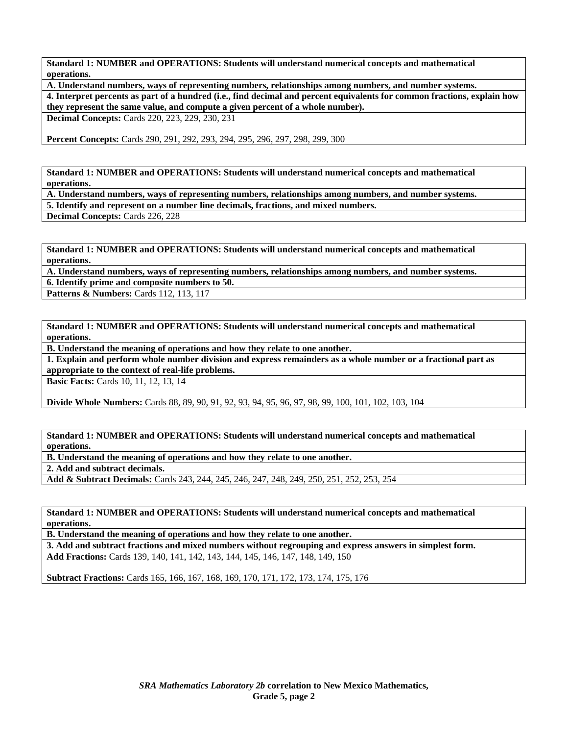**A. Understand numbers, ways of representing numbers, relationships among numbers, and number systems. 4. Interpret percents as part of a hundred (i.e., find decimal and percent equivalents for common fractions, explain how they represent the same value, and compute a given percent of a whole number).** 

**Decimal Concepts:** Cards 220, 223, 229, 230, 231

**Percent Concepts:** Cards 290, 291, 292, 293, 294, 295, 296, 297, 298, 299, 300

**Standard 1: NUMBER and OPERATIONS: Students will understand numerical concepts and mathematical operations.** 

**A. Understand numbers, ways of representing numbers, relationships among numbers, and number systems.** 

**5. Identify and represent on a number line decimals, fractions, and mixed numbers.** 

**Decimal Concepts:** Cards 226, 228

**Standard 1: NUMBER and OPERATIONS: Students will understand numerical concepts and mathematical operations.** 

**A. Understand numbers, ways of representing numbers, relationships among numbers, and number systems.** 

**6. Identify prime and composite numbers to 50.** 

**Patterns & Numbers: Cards 112, 113, 117** 

**Standard 1: NUMBER and OPERATIONS: Students will understand numerical concepts and mathematical operations.** 

**B. Understand the meaning of operations and how they relate to one another.** 

**1. Explain and perform whole number division and express remainders as a whole number or a fractional part as appropriate to the context of real-life problems.** 

**Basic Facts:** Cards 10, 11, 12, 13, 14

**Divide Whole Numbers:** Cards 88, 89, 90, 91, 92, 93, 94, 95, 96, 97, 98, 99, 100, 101, 102, 103, 104

**Standard 1: NUMBER and OPERATIONS: Students will understand numerical concepts and mathematical operations.** 

**B. Understand the meaning of operations and how they relate to one another.** 

**2. Add and subtract decimals.** 

**Add & Subtract Decimals:** Cards 243, 244, 245, 246, 247, 248, 249, 250, 251, 252, 253, 254

**Standard 1: NUMBER and OPERATIONS: Students will understand numerical concepts and mathematical operations.** 

**B. Understand the meaning of operations and how they relate to one another.** 

**3. Add and subtract fractions and mixed numbers without regrouping and express answers in simplest form. Add Fractions:** Cards 139, 140, 141, 142, 143, 144, 145, 146, 147, 148, 149, 150

**Subtract Fractions:** Cards 165, 166, 167, 168, 169, 170, 171, 172, 173, 174, 175, 176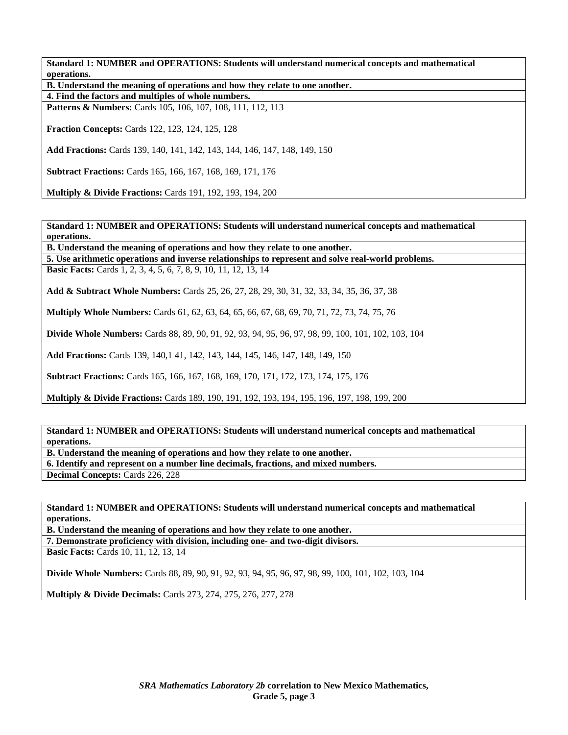**B. Understand the meaning of operations and how they relate to one another.** 

**4. Find the factors and multiples of whole numbers.** 

Patterns & Numbers: Cards 105, 106, 107, 108, 111, 112, 113

**Fraction Concepts:** Cards 122, 123, 124, 125, 128

**Add Fractions:** Cards 139, 140, 141, 142, 143, 144, 146, 147, 148, 149, 150

**Subtract Fractions:** Cards 165, 166, 167, 168, 169, 171, 176

**Multiply & Divide Fractions:** Cards 191, 192, 193, 194, 200

**Standard 1: NUMBER and OPERATIONS: Students will understand numerical concepts and mathematical operations.** 

**B. Understand the meaning of operations and how they relate to one another.** 

**5. Use arithmetic operations and inverse relationships to represent and solve real-world problems.** 

**Basic Facts:** Cards 1, 2, 3, 4, 5, 6, 7, 8, 9, 10, 11, 12, 13, 14

**Add & Subtract Whole Numbers:** Cards 25, 26, 27, 28, 29, 30, 31, 32, 33, 34, 35, 36, 37, 38

**Multiply Whole Numbers:** Cards 61, 62, 63, 64, 65, 66, 67, 68, 69, 70, 71, 72, 73, 74, 75, 76

**Divide Whole Numbers:** Cards 88, 89, 90, 91, 92, 93, 94, 95, 96, 97, 98, 99, 100, 101, 102, 103, 104

**Add Fractions:** Cards 139, 140,1 41, 142, 143, 144, 145, 146, 147, 148, 149, 150

**Subtract Fractions:** Cards 165, 166, 167, 168, 169, 170, 171, 172, 173, 174, 175, 176

**Multiply & Divide Fractions:** Cards 189, 190, 191, 192, 193, 194, 195, 196, 197, 198, 199, 200

**Standard 1: NUMBER and OPERATIONS: Students will understand numerical concepts and mathematical operations.** 

**B. Understand the meaning of operations and how they relate to one another.** 

**6. Identify and represent on a number line decimals, fractions, and mixed numbers.** 

**Decimal Concepts:** Cards 226, 228

**Standard 1: NUMBER and OPERATIONS: Students will understand numerical concepts and mathematical operations.** 

**B. Understand the meaning of operations and how they relate to one another.** 

**7. Demonstrate proficiency with division, including one- and two-digit divisors.** 

**Basic Facts:** Cards 10, 11, 12, 13, 14

**Divide Whole Numbers:** Cards 88, 89, 90, 91, 92, 93, 94, 95, 96, 97, 98, 99, 100, 101, 102, 103, 104

**Multiply & Divide Decimals:** Cards 273, 274, 275, 276, 277, 278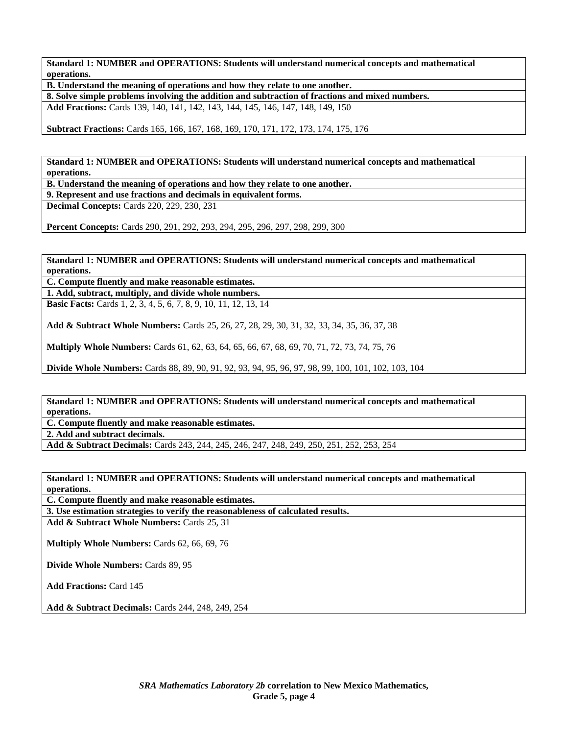**B. Understand the meaning of operations and how they relate to one another.** 

**8. Solve simple problems involving the addition and subtraction of fractions and mixed numbers.** 

**Add Fractions:** Cards 139, 140, 141, 142, 143, 144, 145, 146, 147, 148, 149, 150

**Subtract Fractions:** Cards 165, 166, 167, 168, 169, 170, 171, 172, 173, 174, 175, 176

**Standard 1: NUMBER and OPERATIONS: Students will understand numerical concepts and mathematical operations.** 

**B. Understand the meaning of operations and how they relate to one another.** 

**9. Represent and use fractions and decimals in equivalent forms.** 

**Decimal Concepts:** Cards 220, 229, 230, 231

**Percent Concepts:** Cards 290, 291, 292, 293, 294, 295, 296, 297, 298, 299, 300

**Standard 1: NUMBER and OPERATIONS: Students will understand numerical concepts and mathematical operations.** 

**C. Compute fluently and make reasonable estimates. 1. Add, subtract, multiply, and divide whole numbers.** 

**Basic Facts:** Cards 1, 2, 3, 4, 5, 6, 7, 8, 9, 10, 11, 12, 13, 14

**Add & Subtract Whole Numbers:** Cards 25, 26, 27, 28, 29, 30, 31, 32, 33, 34, 35, 36, 37, 38

**Multiply Whole Numbers:** Cards 61, 62, 63, 64, 65, 66, 67, 68, 69, 70, 71, 72, 73, 74, 75, 76

**Divide Whole Numbers:** Cards 88, 89, 90, 91, 92, 93, 94, 95, 96, 97, 98, 99, 100, 101, 102, 103, 104

**Standard 1: NUMBER and OPERATIONS: Students will understand numerical concepts and mathematical operations.** 

**C. Compute fluently and make reasonable estimates.** 

**2. Add and subtract decimals.** 

**Add & Subtract Decimals:** Cards 243, 244, 245, 246, 247, 248, 249, 250, 251, 252, 253, 254

**Standard 1: NUMBER and OPERATIONS: Students will understand numerical concepts and mathematical operations.** 

**C. Compute fluently and make reasonable estimates.** 

**3. Use estimation strategies to verify the reasonableness of calculated results.** 

**Add & Subtract Whole Numbers:** Cards 25, 31

**Multiply Whole Numbers:** Cards 62, 66, 69, 76

**Divide Whole Numbers:** Cards 89, 95

**Add Fractions:** Card 145

**Add & Subtract Decimals:** Cards 244, 248, 249, 254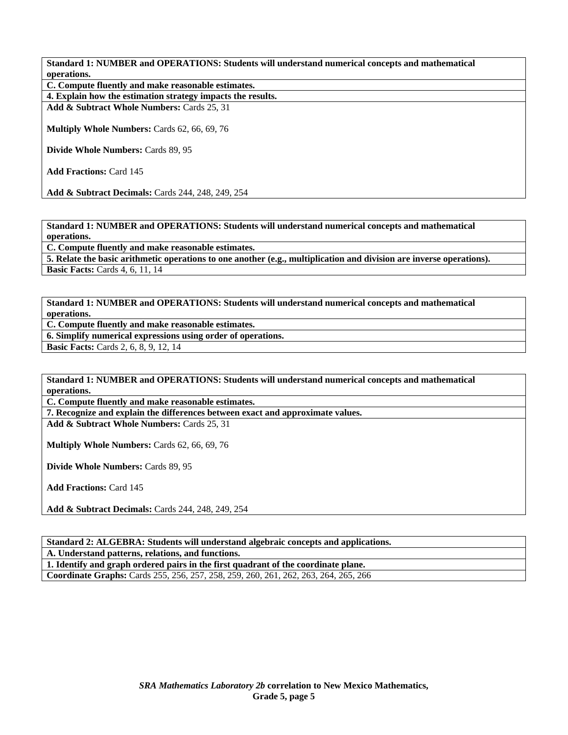**C. Compute fluently and make reasonable estimates.** 

**4. Explain how the estimation strategy impacts the results.** 

**Add & Subtract Whole Numbers:** Cards 25, 31

**Multiply Whole Numbers:** Cards 62, 66, 69, 76

**Divide Whole Numbers:** Cards 89, 95

**Add Fractions:** Card 145

**Add & Subtract Decimals:** Cards 244, 248, 249, 254

**Standard 1: NUMBER and OPERATIONS: Students will understand numerical concepts and mathematical operations.** 

**C. Compute fluently and make reasonable estimates.** 

**5. Relate the basic arithmetic operations to one another (e.g., multiplication and division are inverse operations). Basic Facts: Cards 4, 6, 11, 14** 

**Standard 1: NUMBER and OPERATIONS: Students will understand numerical concepts and mathematical operations.** 

**C. Compute fluently and make reasonable estimates.** 

**6. Simplify numerical expressions using order of operations.** 

**Basic Facts:** Cards 2, 6, 8, 9, 12, 14

**Standard 1: NUMBER and OPERATIONS: Students will understand numerical concepts and mathematical operations.** 

**C. Compute fluently and make reasonable estimates.** 

**7. Recognize and explain the differences between exact and approximate values.** 

**Add & Subtract Whole Numbers:** Cards 25, 31

**Multiply Whole Numbers:** Cards 62, 66, 69, 76

**Divide Whole Numbers:** Cards 89, 95

**Add Fractions:** Card 145

**Add & Subtract Decimals:** Cards 244, 248, 249, 254

**Standard 2: ALGEBRA: Students will understand algebraic concepts and applications.** 

**A. Understand patterns, relations, and functions.** 

**1. Identify and graph ordered pairs in the first quadrant of the coordinate plane.** 

**Coordinate Graphs:** Cards 255, 256, 257, 258, 259, 260, 261, 262, 263, 264, 265, 266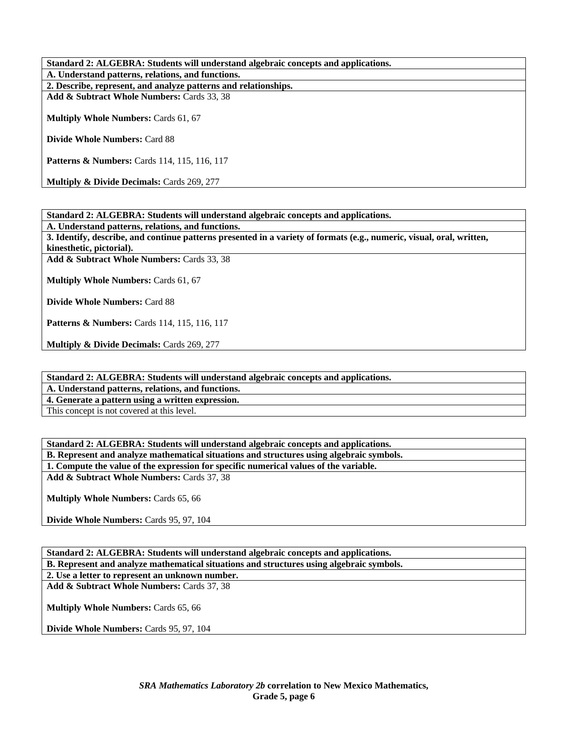**Standard 2: ALGEBRA: Students will understand algebraic concepts and applications. A. Understand patterns, relations, and functions. 2. Describe, represent, and analyze patterns and relationships. Add & Subtract Whole Numbers:** Cards 33, 38 **Multiply Whole Numbers:** Cards 61, 67 **Divide Whole Numbers:** Card 88 **Patterns & Numbers:** Cards 114, 115, 116, 117

**Multiply & Divide Decimals: Cards 269, 277** 

**Standard 2: ALGEBRA: Students will understand algebraic concepts and applications.** 

**A. Understand patterns, relations, and functions.** 

**3. Identify, describe, and continue patterns presented in a variety of formats (e.g., numeric, visual, oral, written, kinesthetic, pictorial).** 

**Add & Subtract Whole Numbers:** Cards 33, 38

**Multiply Whole Numbers:** Cards 61, 67

**Divide Whole Numbers:** Card 88

**Patterns & Numbers:** Cards 114, 115, 116, 117

**Multiply & Divide Decimals:** Cards 269, 277

**Standard 2: ALGEBRA: Students will understand algebraic concepts and applications.** 

**A. Understand patterns, relations, and functions.** 

**4. Generate a pattern using a written expression.** 

This concept is not covered at this level.

**Standard 2: ALGEBRA: Students will understand algebraic concepts and applications. B. Represent and analyze mathematical situations and structures using algebraic symbols. 1. Compute the value of the expression for specific numerical values of the variable.** 

**Add & Subtract Whole Numbers:** Cards 37, 38

**Multiply Whole Numbers:** Cards 65, 66

**Divide Whole Numbers:** Cards 95, 97, 104

**Standard 2: ALGEBRA: Students will understand algebraic concepts and applications. B. Represent and analyze mathematical situations and structures using algebraic symbols. 2. Use a letter to represent an unknown number. Add & Subtract Whole Numbers:** Cards 37, 38 **Multiply Whole Numbers:** Cards 65, 66 **Divide Whole Numbers:** Cards 95, 97, 104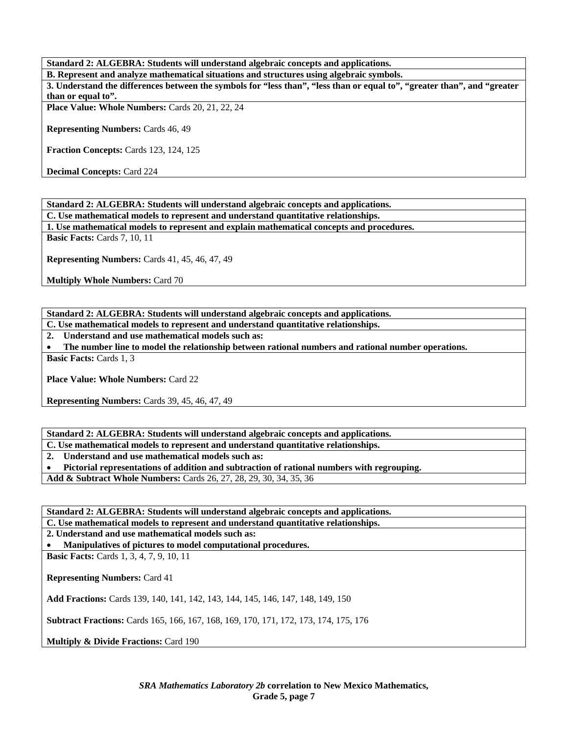**Standard 2: ALGEBRA: Students will understand algebraic concepts and applications.** 

**B. Represent and analyze mathematical situations and structures using algebraic symbols. 3. Understand the differences between the symbols for "less than", "less than or equal to", "greater than", and "greater than or equal to".** 

Place Value: Whole Numbers: Cards 20, 21, 22, 24

**Representing Numbers:** Cards 46, 49

**Fraction Concepts:** Cards 123, 124, 125

**Decimal Concepts:** Card 224

**Standard 2: ALGEBRA: Students will understand algebraic concepts and applications.** 

**C. Use mathematical models to represent and understand quantitative relationships.** 

**1. Use mathematical models to represent and explain mathematical concepts and procedures.** 

**Basic Facts: Cards 7, 10, 11** 

**Representing Numbers:** Cards 41, 45, 46, 47, 49

**Multiply Whole Numbers:** Card 70

**Standard 2: ALGEBRA: Students will understand algebraic concepts and applications.** 

**C. Use mathematical models to represent and understand quantitative relationships.** 

**2. Understand and use mathematical models such as:** 

• **The number line to model the relationship between rational numbers and rational number operations.** 

**Basic Facts:** Cards 1, 3

**Place Value: Whole Numbers:** Card 22

**Representing Numbers:** Cards 39, 45, 46, 47, 49

**Standard 2: ALGEBRA: Students will understand algebraic concepts and applications.** 

**C. Use mathematical models to represent and understand quantitative relationships.** 

**2. Understand and use mathematical models such as:** 

• **Pictorial representations of addition and subtraction of rational numbers with regrouping.** 

**Add & Subtract Whole Numbers:** Cards 26, 27, 28, 29, 30, 34, 35, 36

**Standard 2: ALGEBRA: Students will understand algebraic concepts and applications.** 

**C. Use mathematical models to represent and understand quantitative relationships.** 

**2. Understand and use mathematical models such as:** 

• **Manipulatives of pictures to model computational procedures.** 

**Basic Facts:** Cards 1, 3, 4, 7, 9, 10, 11

**Representing Numbers:** Card 41

**Add Fractions:** Cards 139, 140, 141, 142, 143, 144, 145, 146, 147, 148, 149, 150

**Subtract Fractions:** Cards 165, 166, 167, 168, 169, 170, 171, 172, 173, 174, 175, 176

**Multiply & Divide Fractions: Card 190**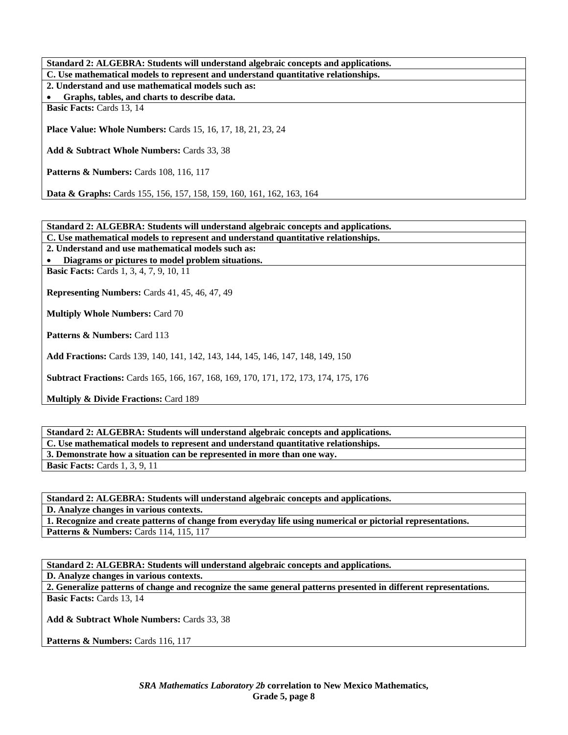**Standard 2: ALGEBRA: Students will understand algebraic concepts and applications. C. Use mathematical models to represent and understand quantitative relationships. 2. Understand and use mathematical models such as:**  • **Graphs, tables, and charts to describe data. Basic Facts: Cards 13, 14 Place Value: Whole Numbers:** Cards 15, 16, 17, 18, 21, 23, 24 **Add & Subtract Whole Numbers:** Cards 33, 38 **Patterns & Numbers: Cards 108, 116, 117 Data & Graphs:** Cards 155, 156, 157, 158, 159, 160, 161, 162, 163, 164

**Standard 2: ALGEBRA: Students will understand algebraic concepts and applications.** 

**C. Use mathematical models to represent and understand quantitative relationships.** 

**2. Understand and use mathematical models such as:** 

• **Diagrams or pictures to model problem situations.** 

**Basic Facts:** Cards 1, 3, 4, 7, 9, 10, 11

**Representing Numbers:** Cards 41, 45, 46, 47, 49

**Multiply Whole Numbers:** Card 70

Patterns & Numbers: Card 113

**Add Fractions:** Cards 139, 140, 141, 142, 143, 144, 145, 146, 147, 148, 149, 150

**Subtract Fractions:** Cards 165, 166, 167, 168, 169, 170, 171, 172, 173, 174, 175, 176

**Multiply & Divide Fractions: Card 189** 

**Standard 2: ALGEBRA: Students will understand algebraic concepts and applications. C. Use mathematical models to represent and understand quantitative relationships. 3. Demonstrate how a situation can be represented in more than one way. Basic Facts: Cards 1, 3, 9, 11** 

**Standard 2: ALGEBRA: Students will understand algebraic concepts and applications. D. Analyze changes in various contexts. 1. Recognize and create patterns of change from everyday life using numerical or pictorial representations. Patterns & Numbers: Cards 114, 115, 117** 

**Standard 2: ALGEBRA: Students will understand algebraic concepts and applications.** 

**D. Analyze changes in various contexts.** 

**2. Generalize patterns of change and recognize the same general patterns presented in different representations. Basic Facts: Cards 13, 14** 

**Add & Subtract Whole Numbers:** Cards 33, 38

Patterns & Numbers: Cards 116, 117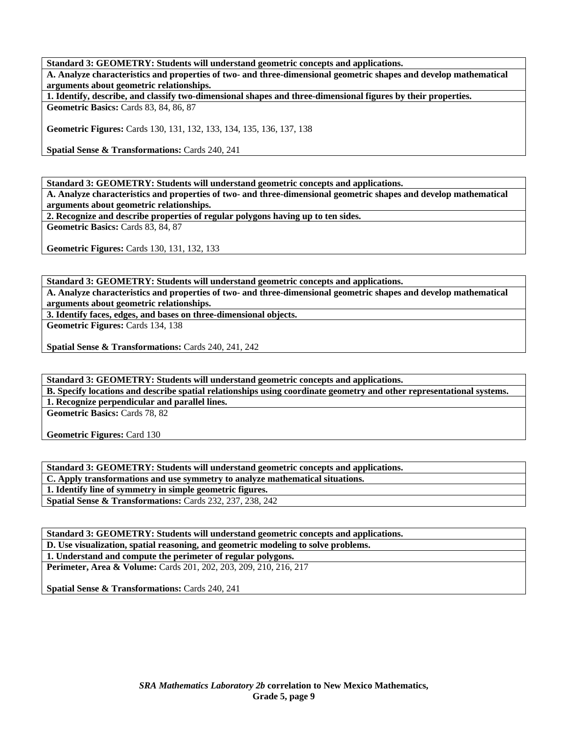**Standard 3: GEOMETRY: Students will understand geometric concepts and applications.** 

**A. Analyze characteristics and properties of two- and three-dimensional geometric shapes and develop mathematical arguments about geometric relationships.** 

**1. Identify, describe, and classify two-dimensional shapes and three-dimensional figures by their properties.** 

**Geometric Basics:** Cards 83, 84, 86, 87

**Geometric Figures:** Cards 130, 131, 132, 133, 134, 135, 136, 137, 138

**Spatial Sense & Transformations:** Cards 240, 241

**Standard 3: GEOMETRY: Students will understand geometric concepts and applications.** 

**A. Analyze characteristics and properties of two- and three-dimensional geometric shapes and develop mathematical arguments about geometric relationships.** 

**2. Recognize and describe properties of regular polygons having up to ten sides.** 

**Geometric Basics:** Cards 83, 84, 87

**Geometric Figures:** Cards 130, 131, 132, 133

**Standard 3: GEOMETRY: Students will understand geometric concepts and applications.** 

**A. Analyze characteristics and properties of two- and three-dimensional geometric shapes and develop mathematical arguments about geometric relationships.** 

**3. Identify faces, edges, and bases on three-dimensional objects.** 

**Geometric Figures:** Cards 134, 138

**Spatial Sense & Transformations:** Cards 240, 241, 242

**Standard 3: GEOMETRY: Students will understand geometric concepts and applications. B. Specify locations and describe spatial relationships using coordinate geometry and other representational systems. 1. Recognize perpendicular and parallel lines.** 

**Geometric Basics:** Cards 78, 82

**Geometric Figures:** Card 130

**Standard 3: GEOMETRY: Students will understand geometric concepts and applications. C. Apply transformations and use symmetry to analyze mathematical situations. 1. Identify line of symmetry in simple geometric figures. Spatial Sense & Transformations:** Cards 232, 237, 238, 242

**Standard 3: GEOMETRY: Students will understand geometric concepts and applications. D. Use visualization, spatial reasoning, and geometric modeling to solve problems. 1. Understand and compute the perimeter of regular polygons. Perimeter, Area & Volume:** Cards 201, 202, 203, 209, 210, 216, 217

**Spatial Sense & Transformations:** Cards 240, 241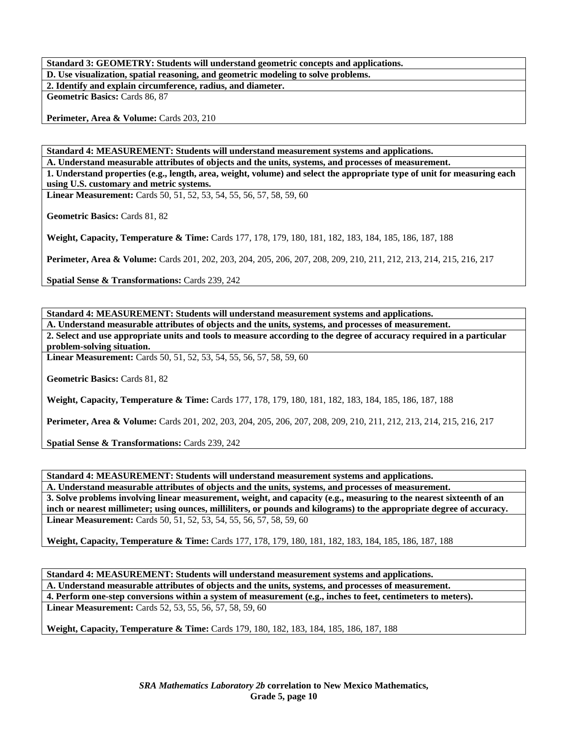**Standard 3: GEOMETRY: Students will understand geometric concepts and applications. D. Use visualization, spatial reasoning, and geometric modeling to solve problems. 2. Identify and explain circumference, radius, and diameter. Geometric Basics:** Cards 86, 87

Perimeter, Area & Volume: Cards 203, 210

**Standard 4: MEASUREMENT: Students will understand measurement systems and applications.** 

**A. Understand measurable attributes of objects and the units, systems, and processes of measurement. 1. Understand properties (e.g., length, area, weight, volume) and select the appropriate type of unit for measuring each using U.S. customary and metric systems.** 

**Linear Measurement:** Cards 50, 51, 52, 53, 54, 55, 56, 57, 58, 59, 60

**Geometric Basics:** Cards 81, 82

**Weight, Capacity, Temperature & Time:** Cards 177, 178, 179, 180, 181, 182, 183, 184, 185, 186, 187, 188

**Perimeter, Area & Volume:** Cards 201, 202, 203, 204, 205, 206, 207, 208, 209, 210, 211, 212, 213, 214, 215, 216, 217

**Spatial Sense & Transformations:** Cards 239, 242

**Standard 4: MEASUREMENT: Students will understand measurement systems and applications.** 

**A. Understand measurable attributes of objects and the units, systems, and processes of measurement. 2. Select and use appropriate units and tools to measure according to the degree of accuracy required in a particular problem-solving situation.** 

**Linear Measurement:** Cards 50, 51, 52, 53, 54, 55, 56, 57, 58, 59, 60

**Geometric Basics:** Cards 81, 82

**Weight, Capacity, Temperature & Time:** Cards 177, 178, 179, 180, 181, 182, 183, 184, 185, 186, 187, 188

**Perimeter, Area & Volume:** Cards 201, 202, 203, 204, 205, 206, 207, 208, 209, 210, 211, 212, 213, 214, 215, 216, 217

**Spatial Sense & Transformations:** Cards 239, 242

**Standard 4: MEASUREMENT: Students will understand measurement systems and applications.** 

**A. Understand measurable attributes of objects and the units, systems, and processes of measurement. 3. Solve problems involving linear measurement, weight, and capacity (e.g., measuring to the nearest sixteenth of an inch or nearest millimeter; using ounces, milliliters, or pounds and kilograms) to the appropriate degree of accuracy. Linear Measurement:** Cards 50, 51, 52, 53, 54, 55, 56, 57, 58, 59, 60

**Weight, Capacity, Temperature & Time:** Cards 177, 178, 179, 180, 181, 182, 183, 184, 185, 186, 187, 188

**Standard 4: MEASUREMENT: Students will understand measurement systems and applications. A. Understand measurable attributes of objects and the units, systems, and processes of measurement. 4. Perform one-step conversions within a system of measurement (e.g., inches to feet, centimeters to meters). Linear Measurement:** Cards 52, 53, 55, 56, 57, 58, 59, 60

**Weight, Capacity, Temperature & Time:** Cards 179, 180, 182, 183, 184, 185, 186, 187, 188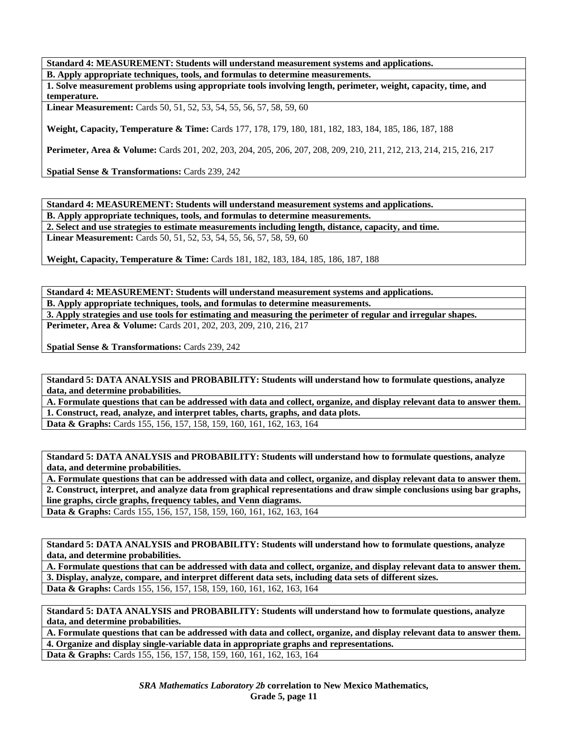**Standard 4: MEASUREMENT: Students will understand measurement systems and applications.** 

**B. Apply appropriate techniques, tools, and formulas to determine measurements.** 

**1. Solve measurement problems using appropriate tools involving length, perimeter, weight, capacity, time, and temperature.** 

**Linear Measurement:** Cards 50, 51, 52, 53, 54, 55, 56, 57, 58, 59, 60

**Weight, Capacity, Temperature & Time:** Cards 177, 178, 179, 180, 181, 182, 183, 184, 185, 186, 187, 188

**Perimeter, Area & Volume:** Cards 201, 202, 203, 204, 205, 206, 207, 208, 209, 210, 211, 212, 213, 214, 215, 216, 217

**Spatial Sense & Transformations:** Cards 239, 242

**Standard 4: MEASUREMENT: Students will understand measurement systems and applications.** 

**B. Apply appropriate techniques, tools, and formulas to determine measurements.** 

**2. Select and use strategies to estimate measurements including length, distance, capacity, and time.** 

**Linear Measurement:** Cards 50, 51, 52, 53, 54, 55, 56, 57, 58, 59, 60

**Weight, Capacity, Temperature & Time:** Cards 181, 182, 183, 184, 185, 186, 187, 188

**Standard 4: MEASUREMENT: Students will understand measurement systems and applications. B. Apply appropriate techniques, tools, and formulas to determine measurements. 3. Apply strategies and use tools for estimating and measuring the perimeter of regular and irregular shapes. Perimeter, Area & Volume:** Cards 201, 202, 203, 209, 210, 216, 217

**Spatial Sense & Transformations:** Cards 239, 242

**Standard 5: DATA ANALYSIS and PROBABILITY: Students will understand how to formulate questions, analyze data, and determine probabilities.** 

**A. Formulate questions that can be addressed with data and collect, organize, and display relevant data to answer them. 1. Construct, read, analyze, and interpret tables, charts, graphs, and data plots. Data & Graphs:** Cards 155, 156, 157, 158, 159, 160, 161, 162, 163, 164

**Standard 5: DATA ANALYSIS and PROBABILITY: Students will understand how to formulate questions, analyze data, and determine probabilities.** 

**A. Formulate questions that can be addressed with data and collect, organize, and display relevant data to answer them. 2. Construct, interpret, and analyze data from graphical representations and draw simple conclusions using bar graphs, line graphs, circle graphs, frequency tables, and Venn diagrams.** 

**Data & Graphs:** Cards 155, 156, 157, 158, 159, 160, 161, 162, 163, 164

**Standard 5: DATA ANALYSIS and PROBABILITY: Students will understand how to formulate questions, analyze data, and determine probabilities.** 

**A. Formulate questions that can be addressed with data and collect, organize, and display relevant data to answer them. 3. Display, analyze, compare, and interpret different data sets, including data sets of different sizes.** 

**Data & Graphs:** Cards 155, 156, 157, 158, 159, 160, 161, 162, 163, 164

**Standard 5: DATA ANALYSIS and PROBABILITY: Students will understand how to formulate questions, analyze data, and determine probabilities.** 

**A. Formulate questions that can be addressed with data and collect, organize, and display relevant data to answer them. 4. Organize and display single-variable data in appropriate graphs and representations. Data & Graphs:** Cards 155, 156, 157, 158, 159, 160, 161, 162, 163, 164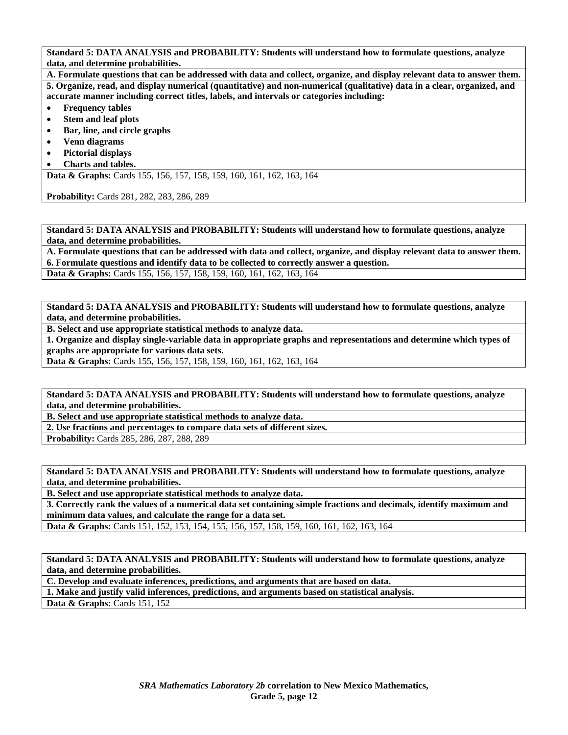**A. Formulate questions that can be addressed with data and collect, organize, and display relevant data to answer them. 5. Organize, read, and display numerical (quantitative) and non-numerical (qualitative) data in a clear, organized, and accurate manner including correct titles, labels, and intervals or categories including:** 

- **Frequency tables**
- **Stem and leaf plots**
- **Bar, line, and circle graphs**
- **Venn diagrams**
- **Pictorial displays**
- **Charts and tables.**

**Data & Graphs:** Cards 155, 156, 157, 158, 159, 160, 161, 162, 163, 164

**Probability:** Cards 281, 282, 283, 286, 289

**Standard 5: DATA ANALYSIS and PROBABILITY: Students will understand how to formulate questions, analyze data, and determine probabilities.** 

**A. Formulate questions that can be addressed with data and collect, organize, and display relevant data to answer them. 6. Formulate questions and identify data to be collected to correctly answer a question.** 

**Data & Graphs:** Cards 155, 156, 157, 158, 159, 160, 161, 162, 163, 164

**Standard 5: DATA ANALYSIS and PROBABILITY: Students will understand how to formulate questions, analyze data, and determine probabilities.** 

**B. Select and use appropriate statistical methods to analyze data.** 

**1. Organize and display single-variable data in appropriate graphs and representations and determine which types of graphs are appropriate for various data sets.** 

**Data & Graphs:** Cards 155, 156, 157, 158, 159, 160, 161, 162, 163, 164

**Standard 5: DATA ANALYSIS and PROBABILITY: Students will understand how to formulate questions, analyze data, and determine probabilities.** 

**B. Select and use appropriate statistical methods to analyze data.** 

**2. Use fractions and percentages to compare data sets of different sizes.** 

**Probability:** Cards 285, 286, 287, 288, 289

**Standard 5: DATA ANALYSIS and PROBABILITY: Students will understand how to formulate questions, analyze data, and determine probabilities.** 

**B. Select and use appropriate statistical methods to analyze data.** 

**3. Correctly rank the values of a numerical data set containing simple fractions and decimals, identify maximum and minimum data values, and calculate the range for a data set.** 

**Data & Graphs:** Cards 151, 152, 153, 154, 155, 156, 157, 158, 159, 160, 161, 162, 163, 164

**Standard 5: DATA ANALYSIS and PROBABILITY: Students will understand how to formulate questions, analyze data, and determine probabilities.** 

**C. Develop and evaluate inferences, predictions, and arguments that are based on data.** 

**1. Make and justify valid inferences, predictions, and arguments based on statistical analysis. Data & Graphs: Cards 151, 152**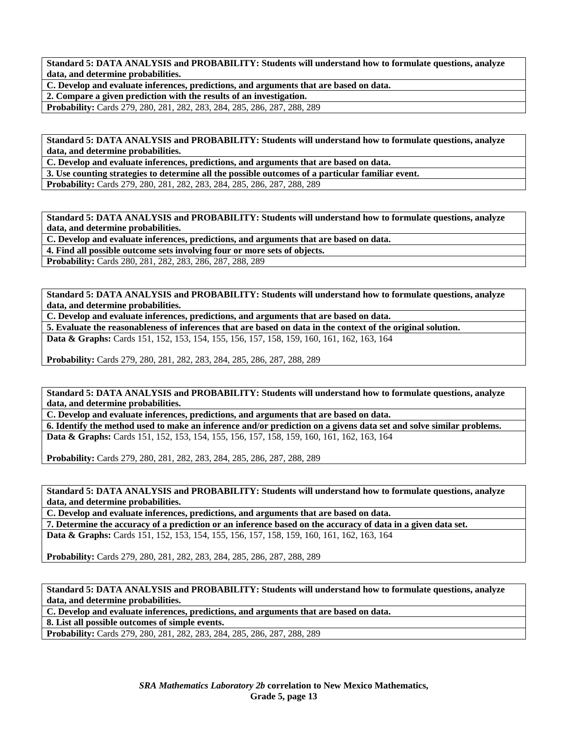**C. Develop and evaluate inferences, predictions, and arguments that are based on data.** 

**2. Compare a given prediction with the results of an investigation.** 

**Probability:** Cards 279, 280, 281, 282, 283, 284, 285, 286, 287, 288, 289

**Standard 5: DATA ANALYSIS and PROBABILITY: Students will understand how to formulate questions, analyze data, and determine probabilities.** 

**C. Develop and evaluate inferences, predictions, and arguments that are based on data.** 

**3. Use counting strategies to determine all the possible outcomes of a particular familiar event.** 

**Probability:** Cards 279, 280, 281, 282, 283, 284, 285, 286, 287, 288, 289

**Standard 5: DATA ANALYSIS and PROBABILITY: Students will understand how to formulate questions, analyze data, and determine probabilities.** 

**C. Develop and evaluate inferences, predictions, and arguments that are based on data.** 

**4. Find all possible outcome sets involving four or more sets of objects.** 

**Probability:** Cards 280, 281, 282, 283, 286, 287, 288, 289

**Standard 5: DATA ANALYSIS and PROBABILITY: Students will understand how to formulate questions, analyze data, and determine probabilities.** 

**C. Develop and evaluate inferences, predictions, and arguments that are based on data.** 

**5. Evaluate the reasonableness of inferences that are based on data in the context of the original solution.** 

**Data & Graphs:** Cards 151, 152, 153, 154, 155, 156, 157, 158, 159, 160, 161, 162, 163, 164

**Probability:** Cards 279, 280, 281, 282, 283, 284, 285, 286, 287, 288, 289

**Standard 5: DATA ANALYSIS and PROBABILITY: Students will understand how to formulate questions, analyze data, and determine probabilities.** 

**C. Develop and evaluate inferences, predictions, and arguments that are based on data.** 

**6. Identify the method used to make an inference and/or prediction on a givens data set and solve similar problems. Data & Graphs:** Cards 151, 152, 153, 154, 155, 156, 157, 158, 159, 160, 161, 162, 163, 164

**Probability:** Cards 279, 280, 281, 282, 283, 284, 285, 286, 287, 288, 289

**Standard 5: DATA ANALYSIS and PROBABILITY: Students will understand how to formulate questions, analyze data, and determine probabilities.** 

**C. Develop and evaluate inferences, predictions, and arguments that are based on data.** 

**7. Determine the accuracy of a prediction or an inference based on the accuracy of data in a given data set.** 

**Data & Graphs:** Cards 151, 152, 153, 154, 155, 156, 157, 158, 159, 160, 161, 162, 163, 164

**Probability:** Cards 279, 280, 281, 282, 283, 284, 285, 286, 287, 288, 289

**Standard 5: DATA ANALYSIS and PROBABILITY: Students will understand how to formulate questions, analyze data, and determine probabilities.** 

**C. Develop and evaluate inferences, predictions, and arguments that are based on data.** 

**8. List all possible outcomes of simple events.** 

**Probability:** Cards 279, 280, 281, 282, 283, 284, 285, 286, 287, 288, 289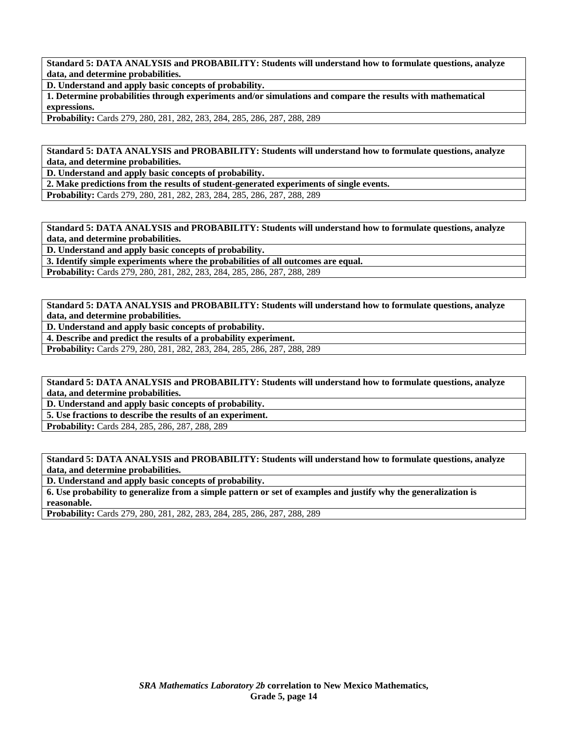**D. Understand and apply basic concepts of probability.** 

**1. Determine probabilities through experiments and/or simulations and compare the results with mathematical expressions.** 

**Probability:** Cards 279, 280, 281, 282, 283, 284, 285, 286, 287, 288, 289

**Standard 5: DATA ANALYSIS and PROBABILITY: Students will understand how to formulate questions, analyze data, and determine probabilities.** 

**D. Understand and apply basic concepts of probability.** 

**2. Make predictions from the results of student-generated experiments of single events.** 

**Probability:** Cards 279, 280, 281, 282, 283, 284, 285, 286, 287, 288, 289

**Standard 5: DATA ANALYSIS and PROBABILITY: Students will understand how to formulate questions, analyze data, and determine probabilities.** 

**D. Understand and apply basic concepts of probability.** 

**3. Identify simple experiments where the probabilities of all outcomes are equal.** 

**Probability:** Cards 279, 280, 281, 282, 283, 284, 285, 286, 287, 288, 289

**Standard 5: DATA ANALYSIS and PROBABILITY: Students will understand how to formulate questions, analyze data, and determine probabilities.** 

**D. Understand and apply basic concepts of probability.** 

**4. Describe and predict the results of a probability experiment.** 

**Probability:** Cards 279, 280, 281, 282, 283, 284, 285, 286, 287, 288, 289

**Standard 5: DATA ANALYSIS and PROBABILITY: Students will understand how to formulate questions, analyze data, and determine probabilities.** 

**D. Understand and apply basic concepts of probability.** 

**5. Use fractions to describe the results of an experiment.** 

**Probability:** Cards 284, 285, 286, 287, 288, 289

**Standard 5: DATA ANALYSIS and PROBABILITY: Students will understand how to formulate questions, analyze data, and determine probabilities.** 

**D. Understand and apply basic concepts of probability.** 

**6. Use probability to generalize from a simple pattern or set of examples and justify why the generalization is reasonable.** 

**Probability:** Cards 279, 280, 281, 282, 283, 284, 285, 286, 287, 288, 289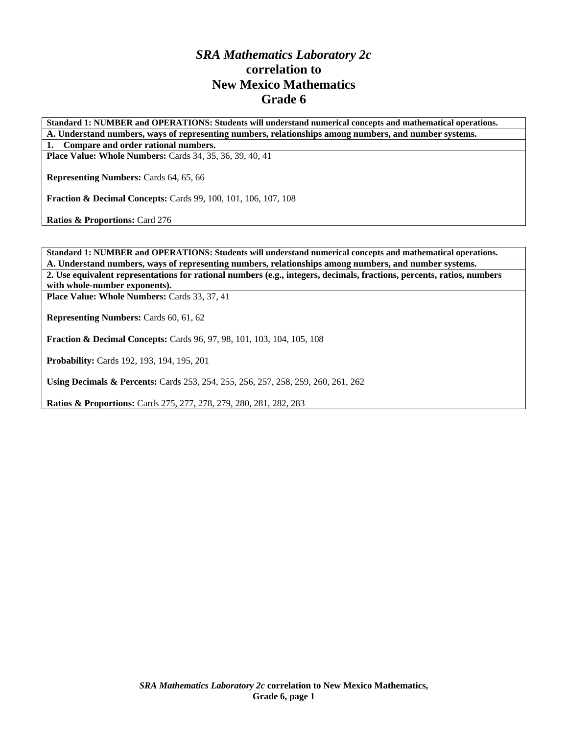## *SRA Mathematics Laboratory 2c*  **correlation to New Mexico Mathematics Grade 6**

**Standard 1: NUMBER and OPERATIONS: Students will understand numerical concepts and mathematical operations. A. Understand numbers, ways of representing numbers, relationships among numbers, and number systems.** 

**1. Compare and order rational numbers. Place Value: Whole Numbers:** Cards 34, 35, 36, 39, 40, 41

**Representing Numbers:** Cards 64, 65, 66

**Fraction & Decimal Concepts:** Cards 99, 100, 101, 106, 107, 108

**Ratios & Proportions:** Card 276

**Standard 1: NUMBER and OPERATIONS: Students will understand numerical concepts and mathematical operations. A. Understand numbers, ways of representing numbers, relationships among numbers, and number systems. 2. Use equivalent representations for rational numbers (e.g., integers, decimals, fractions, percents, ratios, numbers with whole-number exponents).** 

Place Value: Whole Numbers: Cards 33, 37, 41

**Representing Numbers:** Cards 60, 61, 62

**Fraction & Decimal Concepts:** Cards 96, 97, 98, 101, 103, 104, 105, 108

**Probability:** Cards 192, 193, 194, 195, 201

**Using Decimals & Percents:** Cards 253, 254, 255, 256, 257, 258, 259, 260, 261, 262

**Ratios & Proportions:** Cards 275, 277, 278, 279, 280, 281, 282, 283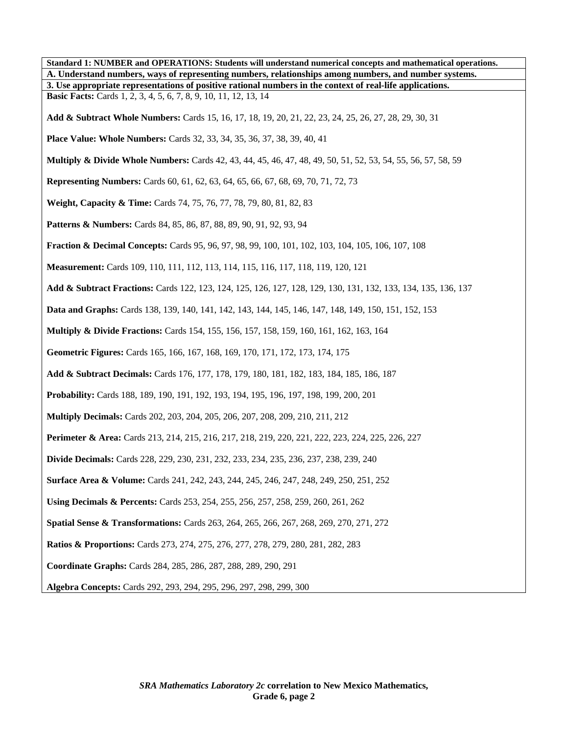| Standard 1: NUMBER and OPERATIONS: Students will understand numerical concepts and mathematical operations.              |
|--------------------------------------------------------------------------------------------------------------------------|
| A. Understand numbers, ways of representing numbers, relationships among numbers, and number systems.                    |
| 3. Use appropriate representations of positive rational numbers in the context of real-life applications.                |
| <b>Basic Facts:</b> Cards 1, 2, 3, 4, 5, 6, 7, 8, 9, 10, 11, 12, 13, 14                                                  |
| Add & Subtract Whole Numbers: Cards 15, 16, 17, 18, 19, 20, 21, 22, 23, 24, 25, 26, 27, 28, 29, 30, 31                   |
| <b>Place Value: Whole Numbers:</b> Cards 32, 33, 34, 35, 36, 37, 38, 39, 40, 41                                          |
| <b>Multiply &amp; Divide Whole Numbers:</b> Cards 42, 43, 44, 45, 46, 47, 48, 49, 50, 51, 52, 53, 54, 55, 56, 57, 58, 59 |
| <b>Representing Numbers:</b> Cards 60, 61, 62, 63, 64, 65, 66, 67, 68, 69, 70, 71, 72, 73                                |
| Weight, Capacity & Time: Cards 74, 75, 76, 77, 78, 79, 80, 81, 82, 83                                                    |
| Patterns & Numbers: Cards 84, 85, 86, 87, 88, 89, 90, 91, 92, 93, 94                                                     |
| <b>Fraction &amp; Decimal Concepts:</b> Cards 95, 96, 97, 98, 99, 100, 101, 102, 103, 104, 105, 106, 107, 108            |
| Measurement: Cards 109, 110, 111, 112, 113, 114, 115, 116, 117, 118, 119, 120, 121                                       |
| Add & Subtract Fractions: Cards 122, 123, 124, 125, 126, 127, 128, 129, 130, 131, 132, 133, 134, 135, 136, 137           |
| Data and Graphs: Cards 138, 139, 140, 141, 142, 143, 144, 145, 146, 147, 148, 149, 150, 151, 152, 153                    |
| <b>Multiply &amp; Divide Fractions:</b> Cards 154, 155, 156, 157, 158, 159, 160, 161, 162, 163, 164                      |
| Geometric Figures: Cards 165, 166, 167, 168, 169, 170, 171, 172, 173, 174, 175                                           |
| Add & Subtract Decimals: Cards 176, 177, 178, 179, 180, 181, 182, 183, 184, 185, 186, 187                                |
| Probability: Cards 188, 189, 190, 191, 192, 193, 194, 195, 196, 197, 198, 199, 200, 201                                  |
| <b>Multiply Decimals:</b> Cards 202, 203, 204, 205, 206, 207, 208, 209, 210, 211, 212                                    |
| Perimeter & Area: Cards 213, 214, 215, 216, 217, 218, 219, 220, 221, 222, 223, 224, 225, 226, 227                        |
| <b>Divide Decimals:</b> Cards 228, 229, 230, 231, 232, 233, 234, 235, 236, 237, 238, 239, 240                            |
| <b>Surface Area &amp; Volume:</b> Cards 241, 242, 243, 244, 245, 246, 247, 248, 249, 250, 251, 252                       |
| Using Decimals & Percents: Cards 253, 254, 255, 256, 257, 258, 259, 260, 261, 262                                        |
| Spatial Sense & Transformations: Cards 263, 264, 265, 266, 267, 268, 269, 270, 271, 272                                  |
| <b>Ratios &amp; Proportions:</b> Cards 273, 274, 275, 276, 277, 278, 279, 280, 281, 282, 283                             |
| Coordinate Graphs: Cards 284, 285, 286, 287, 288, 289, 290, 291                                                          |
| Algebra Concepts: Cards 292, 293, 294, 295, 296, 297, 298, 299, 300                                                      |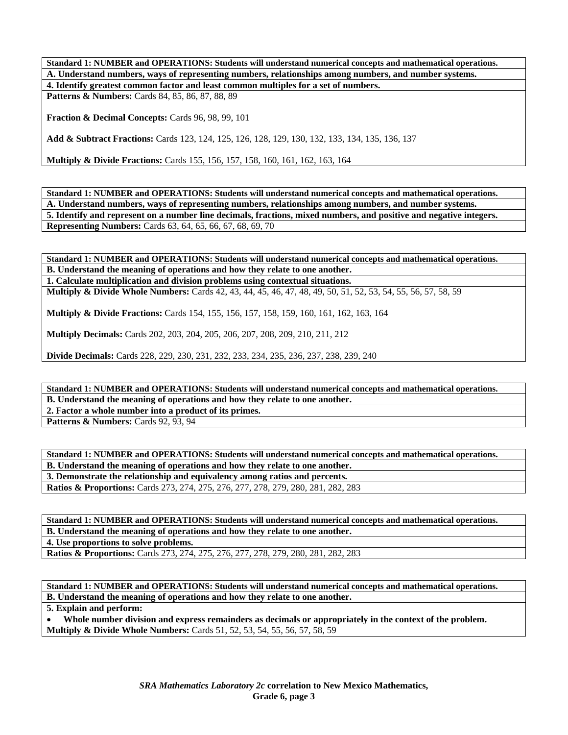**Standard 1: NUMBER and OPERATIONS: Students will understand numerical concepts and mathematical operations. A. Understand numbers, ways of representing numbers, relationships among numbers, and number systems. 4. Identify greatest common factor and least common multiples for a set of numbers.** 

Patterns & Numbers: Cards 84, 85, 86, 87, 88, 89

**Fraction & Decimal Concepts:** Cards 96, 98, 99, 101

**Add & Subtract Fractions:** Cards 123, 124, 125, 126, 128, 129, 130, 132, 133, 134, 135, 136, 137

**Multiply & Divide Fractions:** Cards 155, 156, 157, 158, 160, 161, 162, 163, 164

**Standard 1: NUMBER and OPERATIONS: Students will understand numerical concepts and mathematical operations. A. Understand numbers, ways of representing numbers, relationships among numbers, and number systems. 5. Identify and represent on a number line decimals, fractions, mixed numbers, and positive and negative integers. Representing Numbers:** Cards 63, 64, 65, 66, 67, 68, 69, 70

**Standard 1: NUMBER and OPERATIONS: Students will understand numerical concepts and mathematical operations. B. Understand the meaning of operations and how they relate to one another. 1. Calculate multiplication and division problems using contextual situations.** 

**Multiply & Divide Whole Numbers:** Cards 42, 43, 44, 45, 46, 47, 48, 49, 50, 51, 52, 53, 54, 55, 56, 57, 58, 59

**Multiply & Divide Fractions:** Cards 154, 155, 156, 157, 158, 159, 160, 161, 162, 163, 164

**Multiply Decimals:** Cards 202, 203, 204, 205, 206, 207, 208, 209, 210, 211, 212

**Divide Decimals:** Cards 228, 229, 230, 231, 232, 233, 234, 235, 236, 237, 238, 239, 240

**Standard 1: NUMBER and OPERATIONS: Students will understand numerical concepts and mathematical operations. B. Understand the meaning of operations and how they relate to one another. 2. Factor a whole number into a product of its primes.** 

**Patterns & Numbers: Cards 92, 93, 94** 

**Standard 1: NUMBER and OPERATIONS: Students will understand numerical concepts and mathematical operations. B. Understand the meaning of operations and how they relate to one another. 3. Demonstrate the relationship and equivalency among ratios and percents. Ratios & Proportions:** Cards 273, 274, 275, 276, 277, 278, 279, 280, 281, 282, 283

**Standard 1: NUMBER and OPERATIONS: Students will understand numerical concepts and mathematical operations. B. Understand the meaning of operations and how they relate to one another. 4. Use proportions to solve problems. Ratios & Proportions:** Cards 273, 274, 275, 276, 277, 278, 279, 280, 281, 282, 283

**Standard 1: NUMBER and OPERATIONS: Students will understand numerical concepts and mathematical operations. B. Understand the meaning of operations and how they relate to one another.** 

**5. Explain and perform:** 

• **Whole number division and express remainders as decimals or appropriately in the context of the problem. Multiply & Divide Whole Numbers:** Cards 51, 52, 53, 54, 55, 56, 57, 58, 59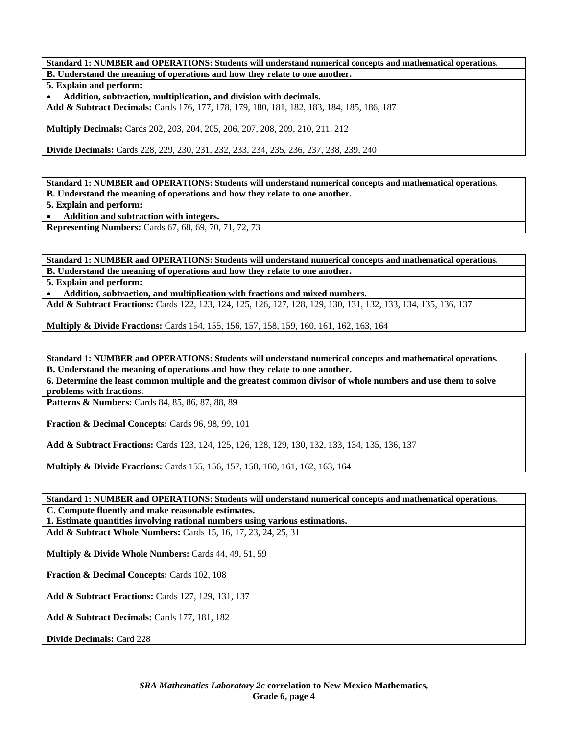**Standard 1: NUMBER and OPERATIONS: Students will understand numerical concepts and mathematical operations. B. Understand the meaning of operations and how they relate to one another. 5. Explain and perform:** 

• **Addition, subtraction, multiplication, and division with decimals.** 

**Add & Subtract Decimals:** Cards 176, 177, 178, 179, 180, 181, 182, 183, 184, 185, 186, 187

**Multiply Decimals:** Cards 202, 203, 204, 205, 206, 207, 208, 209, 210, 211, 212

**Divide Decimals:** Cards 228, 229, 230, 231, 232, 233, 234, 235, 236, 237, 238, 239, 240

**Standard 1: NUMBER and OPERATIONS: Students will understand numerical concepts and mathematical operations. B. Understand the meaning of operations and how they relate to one another.** 

**5. Explain and perform:** 

• **Addition and subtraction with integers.** 

**Representing Numbers:** Cards 67, 68, 69, 70, 71, 72, 73

**Standard 1: NUMBER and OPERATIONS: Students will understand numerical concepts and mathematical operations. B. Understand the meaning of operations and how they relate to one another.** 

**5. Explain and perform:** 

• **Addition, subtraction, and multiplication with fractions and mixed numbers.** 

**Add & Subtract Fractions:** Cards 122, 123, 124, 125, 126, 127, 128, 129, 130, 131, 132, 133, 134, 135, 136, 137

**Multiply & Divide Fractions:** Cards 154, 155, 156, 157, 158, 159, 160, 161, 162, 163, 164

**Standard 1: NUMBER and OPERATIONS: Students will understand numerical concepts and mathematical operations. B. Understand the meaning of operations and how they relate to one another.** 

**6. Determine the least common multiple and the greatest common divisor of whole numbers and use them to solve problems with fractions.** 

**Patterns & Numbers:** Cards 84, 85, 86, 87, 88, 89

**Fraction & Decimal Concepts:** Cards 96, 98, 99, 101

**Add & Subtract Fractions:** Cards 123, 124, 125, 126, 128, 129, 130, 132, 133, 134, 135, 136, 137

**Multiply & Divide Fractions:** Cards 155, 156, 157, 158, 160, 161, 162, 163, 164

**Standard 1: NUMBER and OPERATIONS: Students will understand numerical concepts and mathematical operations. C. Compute fluently and make reasonable estimates.** 

**1. Estimate quantities involving rational numbers using various estimations.** 

**Add & Subtract Whole Numbers:** Cards 15, 16, 17, 23, 24, 25, 31

**Multiply & Divide Whole Numbers:** Cards 44, 49, 51, 59

**Fraction & Decimal Concepts:** Cards 102, 108

**Add & Subtract Fractions:** Cards 127, 129, 131, 137

**Add & Subtract Decimals:** Cards 177, 181, 182

**Divide Decimals:** Card 228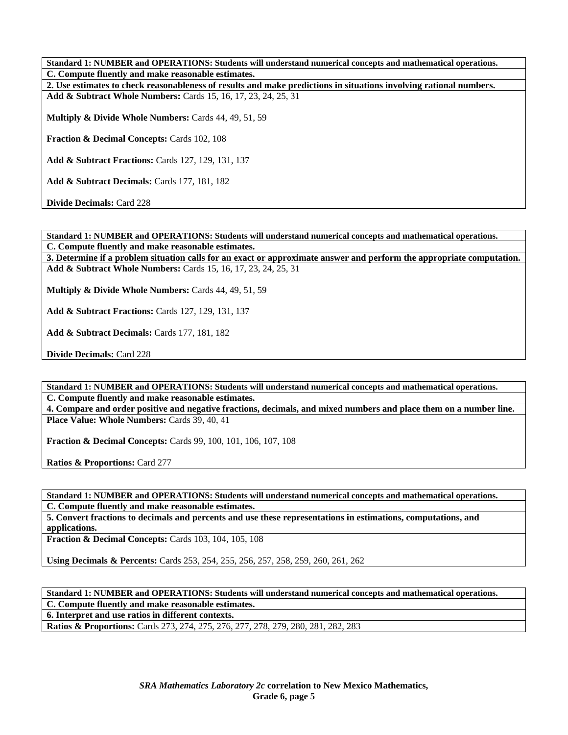**Standard 1: NUMBER and OPERATIONS: Students will understand numerical concepts and mathematical operations. C. Compute fluently and make reasonable estimates. 2. Use estimates to check reasonableness of results and make predictions in situations involving rational numbers. Add & Subtract Whole Numbers:** Cards 15, 16, 17, 23, 24, 25, 31 **Multiply & Divide Whole Numbers:** Cards 44, 49, 51, 59 **Fraction & Decimal Concepts:** Cards 102, 108 **Add & Subtract Fractions:** Cards 127, 129, 131, 137 **Add & Subtract Decimals:** Cards 177, 181, 182 **Divide Decimals:** Card 228

**Standard 1: NUMBER and OPERATIONS: Students will understand numerical concepts and mathematical operations. C. Compute fluently and make reasonable estimates.** 

**3. Determine if a problem situation calls for an exact or approximate answer and perform the appropriate computation. Add & Subtract Whole Numbers:** Cards 15, 16, 17, 23, 24, 25, 31

**Multiply & Divide Whole Numbers:** Cards 44, 49, 51, 59

**Add & Subtract Fractions:** Cards 127, 129, 131, 137

**Add & Subtract Decimals:** Cards 177, 181, 182

**Divide Decimals:** Card 228

**Standard 1: NUMBER and OPERATIONS: Students will understand numerical concepts and mathematical operations. C. Compute fluently and make reasonable estimates.** 

**4. Compare and order positive and negative fractions, decimals, and mixed numbers and place them on a number line.**  Place Value: Whole Numbers: Cards 39, 40, 41

**Fraction & Decimal Concepts:** Cards 99, 100, 101, 106, 107, 108

**Ratios & Proportions:** Card 277

**Standard 1: NUMBER and OPERATIONS: Students will understand numerical concepts and mathematical operations. C. Compute fluently and make reasonable estimates.** 

**5. Convert fractions to decimals and percents and use these representations in estimations, computations, and applications.** 

**Fraction & Decimal Concepts:** Cards 103, 104, 105, 108

**Using Decimals & Percents:** Cards 253, 254, 255, 256, 257, 258, 259, 260, 261, 262

**Standard 1: NUMBER and OPERATIONS: Students will understand numerical concepts and mathematical operations. C. Compute fluently and make reasonable estimates.** 

**6. Interpret and use ratios in different contexts.** 

**Ratios & Proportions:** Cards 273, 274, 275, 276, 277, 278, 279, 280, 281, 282, 283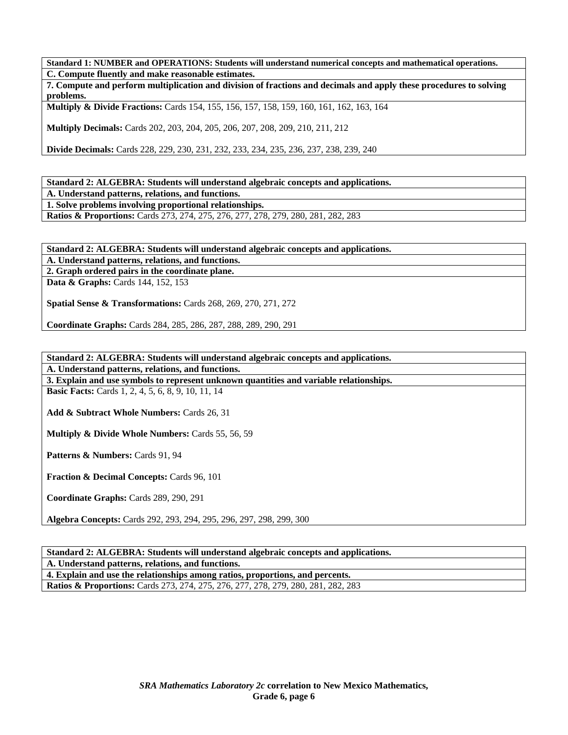**Standard 1: NUMBER and OPERATIONS: Students will understand numerical concepts and mathematical operations. C. Compute fluently and make reasonable estimates.** 

**7. Compute and perform multiplication and division of fractions and decimals and apply these procedures to solving problems.** 

**Multiply & Divide Fractions:** Cards 154, 155, 156, 157, 158, 159, 160, 161, 162, 163, 164

**Multiply Decimals:** Cards 202, 203, 204, 205, 206, 207, 208, 209, 210, 211, 212

**Divide Decimals:** Cards 228, 229, 230, 231, 232, 233, 234, 235, 236, 237, 238, 239, 240

**Standard 2: ALGEBRA: Students will understand algebraic concepts and applications.** 

**A. Understand patterns, relations, and functions.** 

**1. Solve problems involving proportional relationships.** 

**Ratios & Proportions:** Cards 273, 274, 275, 276, 277, 278, 279, 280, 281, 282, 283

**Standard 2: ALGEBRA: Students will understand algebraic concepts and applications.** 

**A. Understand patterns, relations, and functions.** 

**2. Graph ordered pairs in the coordinate plane.** 

**Data & Graphs:** Cards 144, 152, 153

**Spatial Sense & Transformations:** Cards 268, 269, 270, 271, 272

**Coordinate Graphs:** Cards 284, 285, 286, 287, 288, 289, 290, 291

#### **Standard 2: ALGEBRA: Students will understand algebraic concepts and applications. A. Understand patterns, relations, and functions.**

**3. Explain and use symbols to represent unknown quantities and variable relationships.** 

**Basic Facts:** Cards 1, 2, 4, 5, 6, 8, 9, 10, 11, 14

**Add & Subtract Whole Numbers:** Cards 26, 31

**Multiply & Divide Whole Numbers:** Cards 55, 56, 59

Patterns & Numbers: Cards 91, 94

**Fraction & Decimal Concepts:** Cards 96, 101

**Coordinate Graphs:** Cards 289, 290, 291

**Algebra Concepts:** Cards 292, 293, 294, 295, 296, 297, 298, 299, 300

### **Standard 2: ALGEBRA: Students will understand algebraic concepts and applications.**

**A. Understand patterns, relations, and functions.** 

**4. Explain and use the relationships among ratios, proportions, and percents. Ratios & Proportions:** Cards 273, 274, 275, 276, 277, 278, 279, 280, 281, 282, 283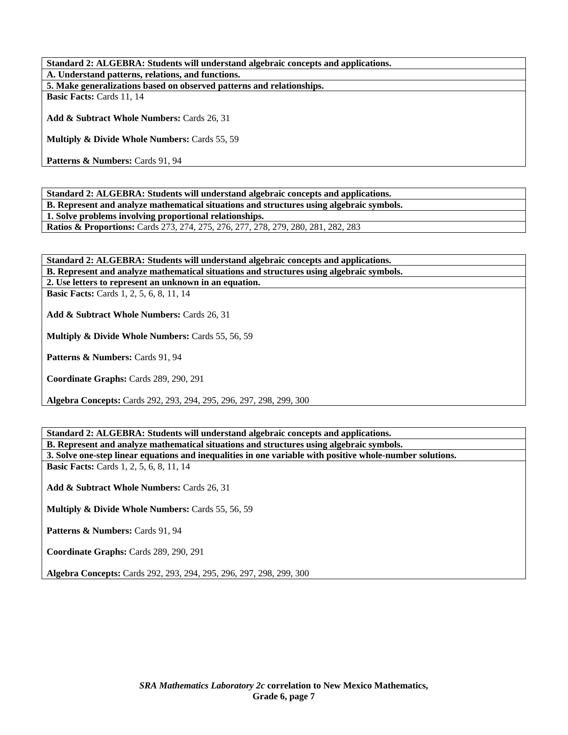**Standard 2: ALGEBRA: Students will understand algebraic concepts and applications. A. Understand patterns, relations, and functions. 5. Make generalizations based on observed patterns and relationships. Basic Facts:** Cards 11, 14

**Add & Subtract Whole Numbers:** Cards 26, 31

**Multiply & Divide Whole Numbers:** Cards 55, 59

Patterns & Numbers: Cards 91, 94

**Standard 2: ALGEBRA: Students will understand algebraic concepts and applications. B. Represent and analyze mathematical situations and structures using algebraic symbols. 1. Solve problems involving proportional relationships. Ratios & Proportions:** Cards 273, 274, 275, 276, 277, 278, 279, 280, 281, 282, 283

**Standard 2: ALGEBRA: Students will understand algebraic concepts and applications. B. Represent and analyze mathematical situations and structures using algebraic symbols. 2. Use letters to represent an unknown in an equation. Basic Facts:** Cards 1, 2, 5, 6, 8, 11, 14

**Add & Subtract Whole Numbers:** Cards 26, 31

**Multiply & Divide Whole Numbers:** Cards 55, 56, 59

Patterns & Numbers: Cards 91, 94

**Coordinate Graphs:** Cards 289, 290, 291

**Algebra Concepts:** Cards 292, 293, 294, 295, 296, 297, 298, 299, 300

**Standard 2: ALGEBRA: Students will understand algebraic concepts and applications. B. Represent and analyze mathematical situations and structures using algebraic symbols. 3. Solve one-step linear equations and inequalities in one variable with positive whole-number solutions. Basic Facts:** Cards 1, 2, 5, 6, 8, 11, 14 **Add & Subtract Whole Numbers:** Cards 26, 31 **Multiply & Divide Whole Numbers:** Cards 55, 56, 59 Patterns & Numbers: Cards 91, 94 **Coordinate Graphs:** Cards 289, 290, 291 **Algebra Concepts:** Cards 292, 293, 294, 295, 296, 297, 298, 299, 300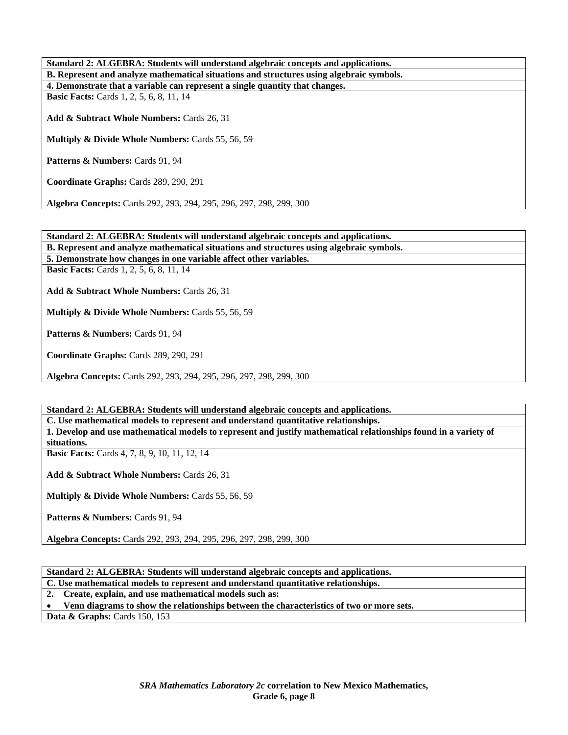| Standard 2: ALGEBRA: Students will understand algebraic concepts and applications.       |
|------------------------------------------------------------------------------------------|
| B. Represent and analyze mathematical situations and structures using algebraic symbols. |
| 4. Demonstrate that a variable can represent a single quantity that changes.             |
| <b>Basic Facts:</b> Cards 1, 2, 5, 6, 8, 11, 14                                          |
|                                                                                          |
| Add & Subtract Whole Numbers: Cards 26, 31                                               |
|                                                                                          |
| <b>Multiply &amp; Divide Whole Numbers: Cards 55, 56, 59</b>                             |
|                                                                                          |
| <b>Patterns &amp; Numbers:</b> Cards 91, 94                                              |
|                                                                                          |
| Coordinate Graphs: Cards 289, 290, 291                                                   |
|                                                                                          |
| <b>Algebra Concepts: Cards 292, 293, 294, 295, 296, 297, 298, 299, 300</b>               |

**Standard 2: ALGEBRA: Students will understand algebraic concepts and applications. B. Represent and analyze mathematical situations and structures using algebraic symbols. 5. Demonstrate how changes in one variable affect other variables. Basic Facts:** Cards 1, 2, 5, 6, 8, 11, 14 **Add & Subtract Whole Numbers:** Cards 26, 31 **Multiply & Divide Whole Numbers:** Cards 55, 56, 59 Patterns & Numbers: Cards 91, 94 **Coordinate Graphs:** Cards 289, 290, 291 **Algebra Concepts:** Cards 292, 293, 294, 295, 296, 297, 298, 299, 300

**Standard 2: ALGEBRA: Students will understand algebraic concepts and applications. C. Use mathematical models to represent and understand quantitative relationships. 1. Develop and use mathematical models to represent and justify mathematical relationships found in a variety of situations. Basic Facts:** Cards 4, 7, 8, 9, 10, 11, 12, 14 **Add & Subtract Whole Numbers:** Cards 26, 31 **Multiply & Divide Whole Numbers:** Cards 55, 56, 59 Patterns & Numbers: Cards 91, 94 **Algebra Concepts:** Cards 292, 293, 294, 295, 296, 297, 298, 299, 300

**Standard 2: ALGEBRA: Students will understand algebraic concepts and applications. C. Use mathematical models to represent and understand quantitative relationships. 2. Create, explain, and use mathematical models such as:**  • **Venn diagrams to show the relationships between the characteristics of two or more sets. Data & Graphs: Cards 150, 153**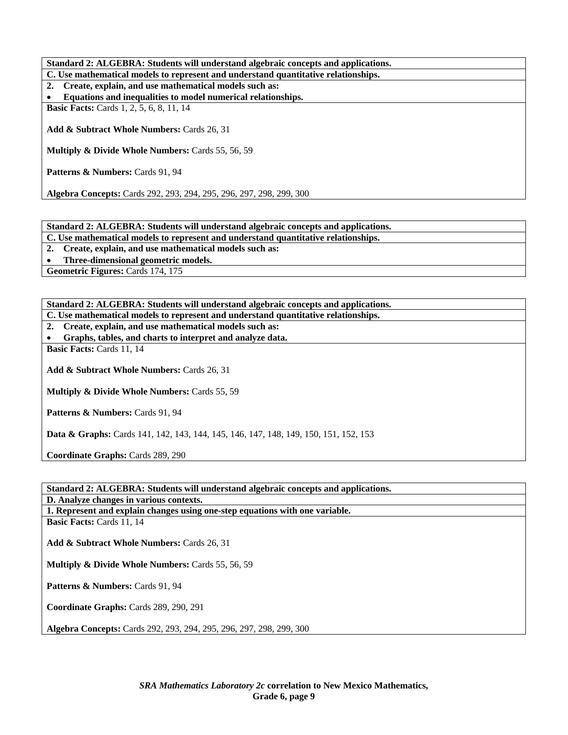**Standard 2: ALGEBRA: Students will understand algebraic concepts and applications. C. Use mathematical models to represent and understand quantitative relationships. 2. Create, explain, and use mathematical models such as:**  • **Equations and inequalities to model numerical relationships. Basic Facts:** Cards 1, 2, 5, 6, 8, 11, 14 **Add & Subtract Whole Numbers:** Cards 26, 31 **Multiply & Divide Whole Numbers:** Cards 55, 56, 59 Patterns & Numbers: Cards 91, 94 **Algebra Concepts:** Cards 292, 293, 294, 295, 296, 297, 298, 299, 300

**Standard 2: ALGEBRA: Students will understand algebraic concepts and applications.** 

**C. Use mathematical models to represent and understand quantitative relationships.** 

**2. Create, explain, and use mathematical models such as:** 

• **Three-dimensional geometric models.** 

Geometric Figures: Cards 174, 175

| Standard 2: ALGEBRA: Students will understand algebraic concepts and applications.              |  |
|-------------------------------------------------------------------------------------------------|--|
| C. Use mathematical models to represent and understand quantitative relationships.              |  |
| 2. Create, explain, and use mathematical models such as:                                        |  |
| Graphs, tables, and charts to interpret and analyze data.                                       |  |
| <b>Basic Facts: Cards 11, 14</b>                                                                |  |
|                                                                                                 |  |
| <b>Add &amp; Subtract Whole Numbers: Cards 26, 31</b>                                           |  |
|                                                                                                 |  |
| <b>Multiply &amp; Divide Whole Numbers: Cards 55, 59</b>                                        |  |
|                                                                                                 |  |
| <b>Patterns &amp; Numbers:</b> Cards 91, 94                                                     |  |
|                                                                                                 |  |
| <b>Data &amp; Graphs:</b> Cards 141, 142, 143, 144, 145, 146, 147, 148, 149, 150, 151, 152, 153 |  |
|                                                                                                 |  |
| <b>Coordinate Graphs: Cards 289, 290</b>                                                        |  |

**Standard 2: ALGEBRA: Students will understand algebraic concepts and applications.** 

**D. Analyze changes in various contexts.** 

**1. Represent and explain changes using one-step equations with one variable.** 

**Basic Facts:** Cards 11, 14

**Add & Subtract Whole Numbers:** Cards 26, 31

**Multiply & Divide Whole Numbers:** Cards 55, 56, 59

Patterns & Numbers: Cards 91, 94

**Coordinate Graphs:** Cards 289, 290, 291

**Algebra Concepts:** Cards 292, 293, 294, 295, 296, 297, 298, 299, 300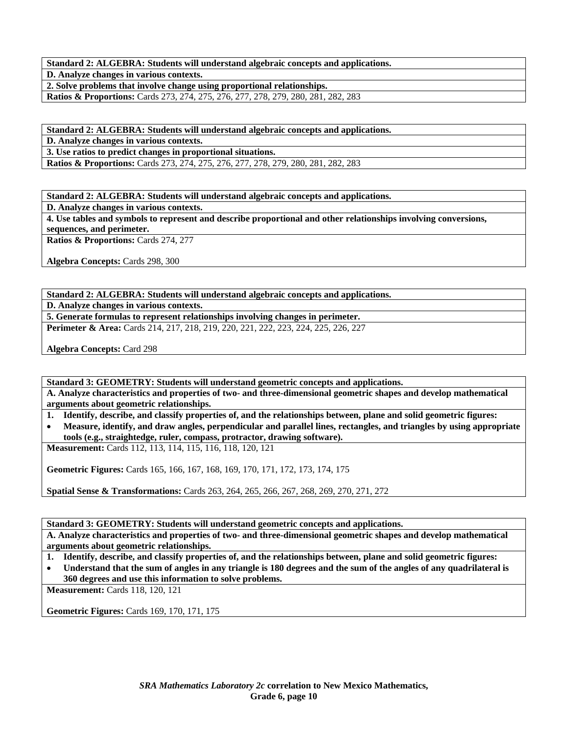**Standard 2: ALGEBRA: Students will understand algebraic concepts and applications. D. Analyze changes in various contexts.** 

**2. Solve problems that involve change using proportional relationships.** 

**Ratios & Proportions:** Cards 273, 274, 275, 276, 277, 278, 279, 280, 281, 282, 283

**Standard 2: ALGEBRA: Students will understand algebraic concepts and applications.** 

**D. Analyze changes in various contexts.** 

**3. Use ratios to predict changes in proportional situations.** 

**Ratios & Proportions:** Cards 273, 274, 275, 276, 277, 278, 279, 280, 281, 282, 283

**Standard 2: ALGEBRA: Students will understand algebraic concepts and applications.** 

**D. Analyze changes in various contexts.** 

**4. Use tables and symbols to represent and describe proportional and other relationships involving conversions, sequences, and perimeter.** 

**Ratios & Proportions: Cards 274, 277** 

**Algebra Concepts:** Cards 298, 300

**Standard 2: ALGEBRA: Students will understand algebraic concepts and applications.** 

**D. Analyze changes in various contexts.** 

**5. Generate formulas to represent relationships involving changes in perimeter.** 

**Perimeter & Area:** Cards 214, 217, 218, 219, 220, 221, 222, 223, 224, 225, 226, 227

**Algebra Concepts:** Card 298

**Standard 3: GEOMETRY: Students will understand geometric concepts and applications.** 

**A. Analyze characteristics and properties of two- and three-dimensional geometric shapes and develop mathematical arguments about geometric relationships.** 

**1. Identify, describe, and classify properties of, and the relationships between, plane and solid geometric figures:** 

• **Measure, identify, and draw angles, perpendicular and parallel lines, rectangles, and triangles by using appropriate tools (e.g., straightedge, ruler, compass, protractor, drawing software).** 

**Measurement:** Cards 112, 113, 114, 115, 116, 118, 120, 121

**Geometric Figures:** Cards 165, 166, 167, 168, 169, 170, 171, 172, 173, 174, 175

**Spatial Sense & Transformations:** Cards 263, 264, 265, 266, 267, 268, 269, 270, 271, 272

**Standard 3: GEOMETRY: Students will understand geometric concepts and applications.** 

**A. Analyze characteristics and properties of two- and three-dimensional geometric shapes and develop mathematical arguments about geometric relationships.** 

**1. Identify, describe, and classify properties of, and the relationships between, plane and solid geometric figures:** 

• **Understand that the sum of angles in any triangle is 180 degrees and the sum of the angles of any quadrilateral is 360 degrees and use this information to solve problems.** 

**Measurement:** Cards 118, 120, 121

**Geometric Figures:** Cards 169, 170, 171, 175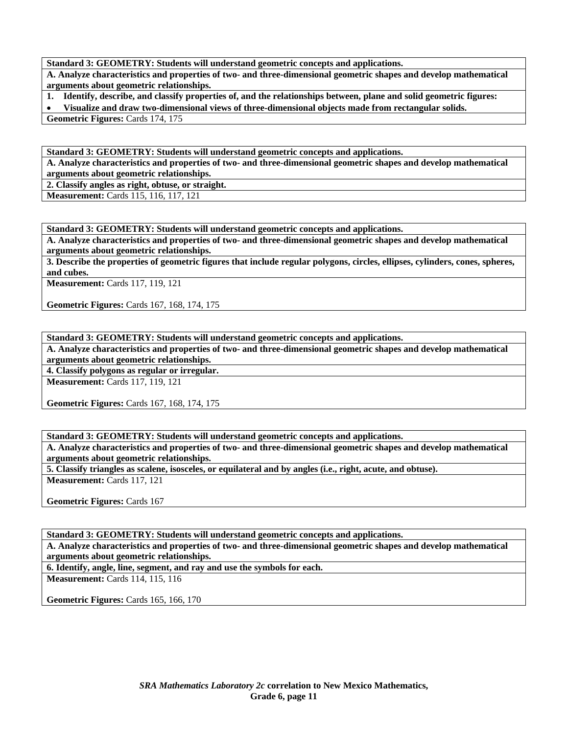**Standard 3: GEOMETRY: Students will understand geometric concepts and applications.** 

**A. Analyze characteristics and properties of two- and three-dimensional geometric shapes and develop mathematical arguments about geometric relationships.** 

**1. Identify, describe, and classify properties of, and the relationships between, plane and solid geometric figures:** 

• **Visualize and draw two-dimensional views of three-dimensional objects made from rectangular solids.** 

**Geometric Figures:** Cards 174, 175

**Standard 3: GEOMETRY: Students will understand geometric concepts and applications.** 

**A. Analyze characteristics and properties of two- and three-dimensional geometric shapes and develop mathematical arguments about geometric relationships.** 

**2. Classify angles as right, obtuse, or straight.** 

**Measurement:** Cards 115, 116, 117, 121

**Standard 3: GEOMETRY: Students will understand geometric concepts and applications.** 

**A. Analyze characteristics and properties of two- and three-dimensional geometric shapes and develop mathematical arguments about geometric relationships.** 

**3. Describe the properties of geometric figures that include regular polygons, circles, ellipses, cylinders, cones, spheres, and cubes.** 

**Measurement:** Cards 117, 119, 121

**Geometric Figures:** Cards 167, 168, 174, 175

**Standard 3: GEOMETRY: Students will understand geometric concepts and applications.** 

**A. Analyze characteristics and properties of two- and three-dimensional geometric shapes and develop mathematical arguments about geometric relationships.** 

**4. Classify polygons as regular or irregular.** 

**Measurement:** Cards 117, 119, 121

**Geometric Figures:** Cards 167, 168, 174, 175

**Standard 3: GEOMETRY: Students will understand geometric concepts and applications.** 

**A. Analyze characteristics and properties of two- and three-dimensional geometric shapes and develop mathematical arguments about geometric relationships.** 

**5. Classify triangles as scalene, isosceles, or equilateral and by angles (i.e., right, acute, and obtuse). Measurement:** Cards 117, 121

**Geometric Figures:** Cards 167

**Standard 3: GEOMETRY: Students will understand geometric concepts and applications.** 

**A. Analyze characteristics and properties of two- and three-dimensional geometric shapes and develop mathematical arguments about geometric relationships.** 

**6. Identify, angle, line, segment, and ray and use the symbols for each.** 

**Measurement:** Cards 114, 115, 116

**Geometric Figures:** Cards 165, 166, 170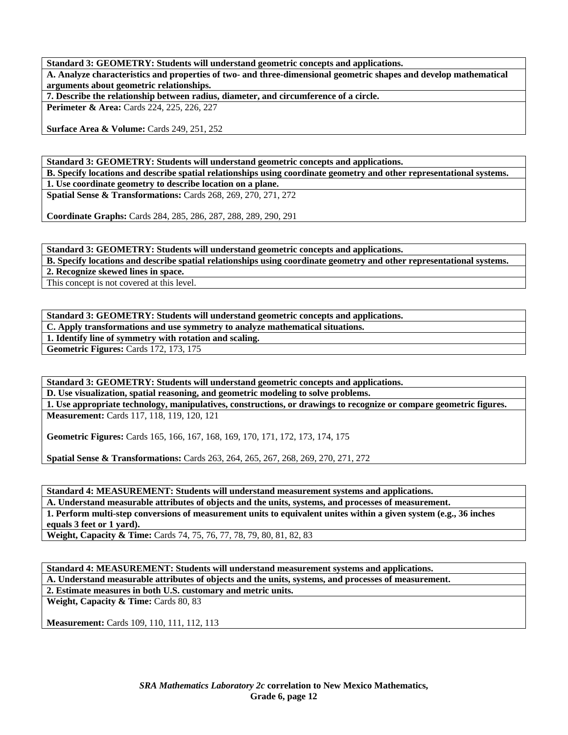**Standard 3: GEOMETRY: Students will understand geometric concepts and applications.** 

**A. Analyze characteristics and properties of two- and three-dimensional geometric shapes and develop mathematical arguments about geometric relationships.** 

**7. Describe the relationship between radius, diameter, and circumference of a circle.** 

**Perimeter & Area:** Cards 224, 225, 226, 227

**Surface Area & Volume:** Cards 249, 251, 252

**Standard 3: GEOMETRY: Students will understand geometric concepts and applications. B. Specify locations and describe spatial relationships using coordinate geometry and other representational systems. 1. Use coordinate geometry to describe location on a plane.** 

**Spatial Sense & Transformations:** Cards 268, 269, 270, 271, 272

**Coordinate Graphs:** Cards 284, 285, 286, 287, 288, 289, 290, 291

**Standard 3: GEOMETRY: Students will understand geometric concepts and applications. B. Specify locations and describe spatial relationships using coordinate geometry and other representational systems.** 

**2. Recognize skewed lines in space.** 

This concept is not covered at this level.

**Standard 3: GEOMETRY: Students will understand geometric concepts and applications.** 

**C. Apply transformations and use symmetry to analyze mathematical situations.** 

**1. Identify line of symmetry with rotation and scaling.** 

**Geometric Figures:** Cards 172, 173, 175

**Standard 3: GEOMETRY: Students will understand geometric concepts and applications.** 

**D. Use visualization, spatial reasoning, and geometric modeling to solve problems.** 

**1. Use appropriate technology, manipulatives, constructions, or drawings to recognize or compare geometric figures. Measurement:** Cards 117, 118, 119, 120, 121

**Geometric Figures:** Cards 165, 166, 167, 168, 169, 170, 171, 172, 173, 174, 175

**Spatial Sense & Transformations:** Cards 263, 264, 265, 267, 268, 269, 270, 271, 272

**Standard 4: MEASUREMENT: Students will understand measurement systems and applications. A. Understand measurable attributes of objects and the units, systems, and processes of measurement. 1. Perform multi-step conversions of measurement units to equivalent unites within a given system (e.g., 36 inches** 

**equals 3 feet or 1 yard).** 

**Weight, Capacity & Time:** Cards 74, 75, 76, 77, 78, 79, 80, 81, 82, 83

**Standard 4: MEASUREMENT: Students will understand measurement systems and applications. A. Understand measurable attributes of objects and the units, systems, and processes of measurement. 2. Estimate measures in both U.S. customary and metric units.** 

**Weight, Capacity & Time: Cards 80, 83** 

**Measurement:** Cards 109, 110, 111, 112, 113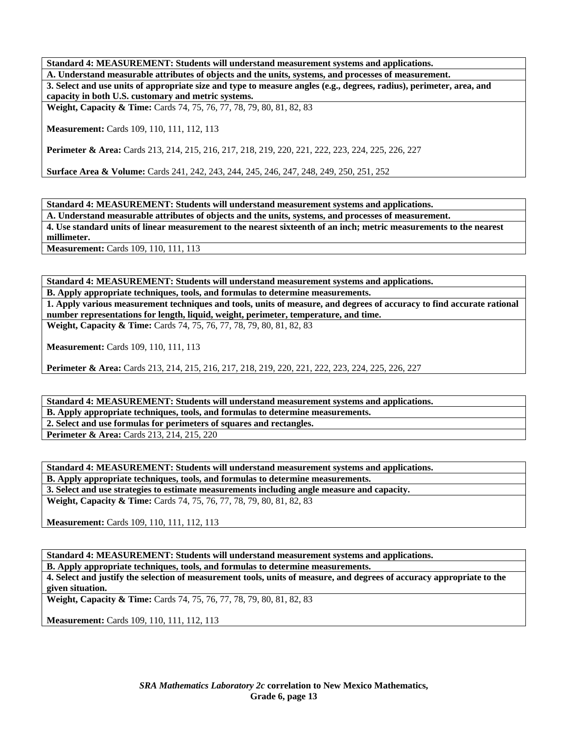**Standard 4: MEASUREMENT: Students will understand measurement systems and applications.** 

**A. Understand measurable attributes of objects and the units, systems, and processes of measurement. 3. Select and use units of appropriate size and type to measure angles (e.g., degrees, radius), perimeter, area, and capacity in both U.S. customary and metric systems.** 

**Weight, Capacity & Time:** Cards 74, 75, 76, 77, 78, 79, 80, 81, 82, 83

**Measurement:** Cards 109, 110, 111, 112, 113

**Perimeter & Area:** Cards 213, 214, 215, 216, 217, 218, 219, 220, 221, 222, 223, 224, 225, 226, 227

**Surface Area & Volume:** Cards 241, 242, 243, 244, 245, 246, 247, 248, 249, 250, 251, 252

**Standard 4: MEASUREMENT: Students will understand measurement systems and applications. A. Understand measurable attributes of objects and the units, systems, and processes of measurement. 4. Use standard units of linear measurement to the nearest sixteenth of an inch; metric measurements to the nearest millimeter.** 

**Measurement:** Cards 109, 110, 111, 113

**Standard 4: MEASUREMENT: Students will understand measurement systems and applications.** 

**B. Apply appropriate techniques, tools, and formulas to determine measurements.** 

**1. Apply various measurement techniques and tools, units of measure, and degrees of accuracy to find accurate rational number representations for length, liquid, weight, perimeter, temperature, and time. Weight, Capacity & Time:** Cards 74, 75, 76, 77, 78, 79, 80, 81, 82, 83

**Measurement:** Cards 109, 110, 111, 113

**Perimeter & Area:** Cards 213, 214, 215, 216, 217, 218, 219, 220, 221, 222, 223, 224, 225, 226, 227

**Standard 4: MEASUREMENT: Students will understand measurement systems and applications. B. Apply appropriate techniques, tools, and formulas to determine measurements.** 

**2. Select and use formulas for perimeters of squares and rectangles.** 

**Perimeter & Area:** Cards 213, 214, 215, 220

**Standard 4: MEASUREMENT: Students will understand measurement systems and applications.** 

**B. Apply appropriate techniques, tools, and formulas to determine measurements.** 

**3. Select and use strategies to estimate measurements including angle measure and capacity.** 

**Weight, Capacity & Time:** Cards 74, 75, 76, 77, 78, 79, 80, 81, 82, 83

**Measurement:** Cards 109, 110, 111, 112, 113

**Standard 4: MEASUREMENT: Students will understand measurement systems and applications.** 

**B. Apply appropriate techniques, tools, and formulas to determine measurements.** 

**4. Select and justify the selection of measurement tools, units of measure, and degrees of accuracy appropriate to the given situation.** 

**Weight, Capacity & Time:** Cards 74, 75, 76, 77, 78, 79, 80, 81, 82, 83

**Measurement:** Cards 109, 110, 111, 112, 113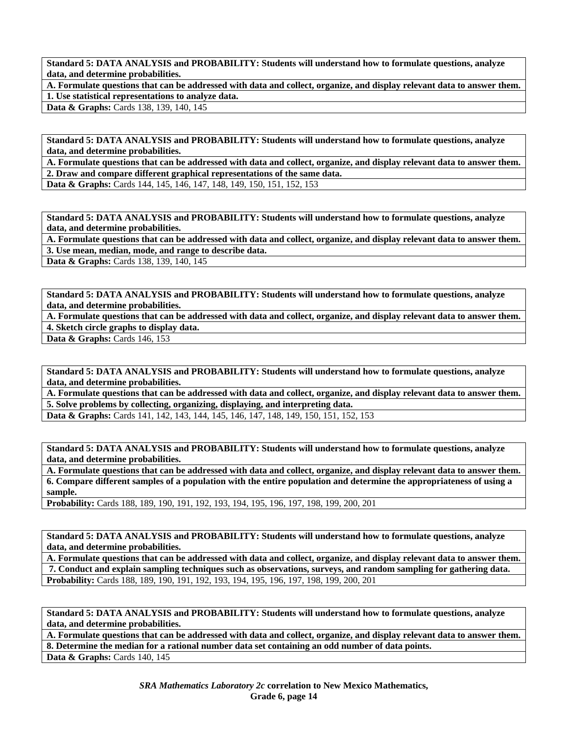**A. Formulate questions that can be addressed with data and collect, organize, and display relevant data to answer them. 1. Use statistical representations to analyze data.** 

Data & Graphs: Cards 138, 139, 140, 145

**Standard 5: DATA ANALYSIS and PROBABILITY: Students will understand how to formulate questions, analyze data, and determine probabilities.** 

**A. Formulate questions that can be addressed with data and collect, organize, and display relevant data to answer them. 2. Draw and compare different graphical representations of the same data.** 

**Data & Graphs:** Cards 144, 145, 146, 147, 148, 149, 150, 151, 152, 153

**Standard 5: DATA ANALYSIS and PROBABILITY: Students will understand how to formulate questions, analyze data, and determine probabilities.** 

**A. Formulate questions that can be addressed with data and collect, organize, and display relevant data to answer them. 3. Use mean, median, mode, and range to describe data.** 

**Data & Graphs:** Cards 138, 139, 140, 145

**Standard 5: DATA ANALYSIS and PROBABILITY: Students will understand how to formulate questions, analyze data, and determine probabilities.** 

**A. Formulate questions that can be addressed with data and collect, organize, and display relevant data to answer them. 4. Sketch circle graphs to display data.** 

**Data & Graphs:** Cards 146, 153

**Standard 5: DATA ANALYSIS and PROBABILITY: Students will understand how to formulate questions, analyze data, and determine probabilities.** 

**A. Formulate questions that can be addressed with data and collect, organize, and display relevant data to answer them. 5. Solve problems by collecting, organizing, displaying, and interpreting data.** 

**Data & Graphs:** Cards 141, 142, 143, 144, 145, 146, 147, 148, 149, 150, 151, 152, 153

**Standard 5: DATA ANALYSIS and PROBABILITY: Students will understand how to formulate questions, analyze data, and determine probabilities.** 

**A. Formulate questions that can be addressed with data and collect, organize, and display relevant data to answer them. 6. Compare different samples of a population with the entire population and determine the appropriateness of using a sample.** 

**Probability:** Cards 188, 189, 190, 191, 192, 193, 194, 195, 196, 197, 198, 199, 200, 201

**Standard 5: DATA ANALYSIS and PROBABILITY: Students will understand how to formulate questions, analyze data, and determine probabilities.** 

**A. Formulate questions that can be addressed with data and collect, organize, and display relevant data to answer them. 7. Conduct and explain sampling techniques such as observations, surveys, and random sampling for gathering data. Probability:** Cards 188, 189, 190, 191, 192, 193, 194, 195, 196, 197, 198, 199, 200, 201

**Standard 5: DATA ANALYSIS and PROBABILITY: Students will understand how to formulate questions, analyze data, and determine probabilities.** 

**A. Formulate questions that can be addressed with data and collect, organize, and display relevant data to answer them. 8. Determine the median for a rational number data set containing an odd number of data points. Data & Graphs:** Cards 140, 145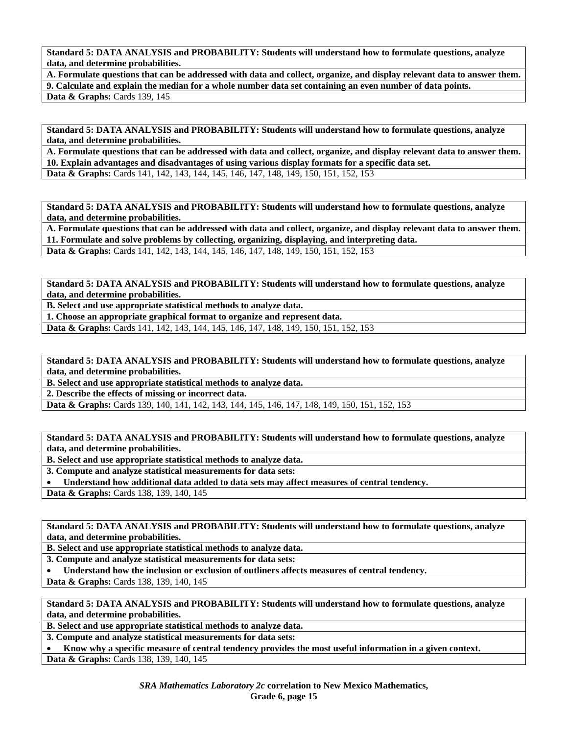**A. Formulate questions that can be addressed with data and collect, organize, and display relevant data to answer them. 9. Calculate and explain the median for a whole number data set containing an even number of data points. Data & Graphs: Cards 139, 145** 

**Standard 5: DATA ANALYSIS and PROBABILITY: Students will understand how to formulate questions, analyze data, and determine probabilities.** 

**A. Formulate questions that can be addressed with data and collect, organize, and display relevant data to answer them. 10. Explain advantages and disadvantages of using various display formats for a specific data set. Data & Graphs:** Cards 141, 142, 143, 144, 145, 146, 147, 148, 149, 150, 151, 152, 153

**Standard 5: DATA ANALYSIS and PROBABILITY: Students will understand how to formulate questions, analyze data, and determine probabilities.** 

**A. Formulate questions that can be addressed with data and collect, organize, and display relevant data to answer them. 11. Formulate and solve problems by collecting, organizing, displaying, and interpreting data. Data & Graphs:** Cards 141, 142, 143, 144, 145, 146, 147, 148, 149, 150, 151, 152, 153

**Standard 5: DATA ANALYSIS and PROBABILITY: Students will understand how to formulate questions, analyze data, and determine probabilities.** 

**B. Select and use appropriate statistical methods to analyze data.** 

**1. Choose an appropriate graphical format to organize and represent data.** 

**Data & Graphs:** Cards 141, 142, 143, 144, 145, 146, 147, 148, 149, 150, 151, 152, 153

**Standard 5: DATA ANALYSIS and PROBABILITY: Students will understand how to formulate questions, analyze data, and determine probabilities.** 

**B. Select and use appropriate statistical methods to analyze data.** 

**2. Describe the effects of missing or incorrect data.** 

**Data & Graphs:** Cards 139, 140, 141, 142, 143, 144, 145, 146, 147, 148, 149, 150, 151, 152, 153

**Standard 5: DATA ANALYSIS and PROBABILITY: Students will understand how to formulate questions, analyze data, and determine probabilities.** 

**B. Select and use appropriate statistical methods to analyze data.** 

**3. Compute and analyze statistical measurements for data sets:** 

• **Understand how additional data added to data sets may affect measures of central tendency.** 

Data & Graphs: Cards 138, 139, 140, 145

**Standard 5: DATA ANALYSIS and PROBABILITY: Students will understand how to formulate questions, analyze data, and determine probabilities.** 

**B. Select and use appropriate statistical methods to analyze data.** 

**3. Compute and analyze statistical measurements for data sets:** 

• **Understand how the inclusion or exclusion of outliners affects measures of central tendency.** 

Data & Graphs: Cards 138, 139, 140, 145

**Standard 5: DATA ANALYSIS and PROBABILITY: Students will understand how to formulate questions, analyze data, and determine probabilities.** 

**B. Select and use appropriate statistical methods to analyze data.** 

**3. Compute and analyze statistical measurements for data sets:** 

• **Know why a specific measure of central tendency provides the most useful information in a given context.** 

Data & Graphs: Cards 138, 139, 140, 145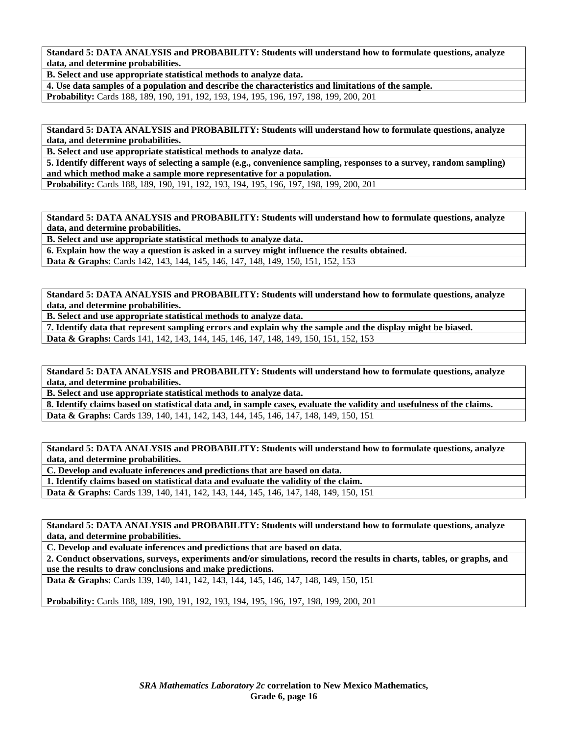**B. Select and use appropriate statistical methods to analyze data.** 

**4. Use data samples of a population and describe the characteristics and limitations of the sample. Probability:** Cards 188, 189, 190, 191, 192, 193, 194, 195, 196, 197, 198, 199, 200, 201

**Standard 5: DATA ANALYSIS and PROBABILITY: Students will understand how to formulate questions, analyze data, and determine probabilities.** 

**B. Select and use appropriate statistical methods to analyze data.** 

**5. Identify different ways of selecting a sample (e.g., convenience sampling, responses to a survey, random sampling) and which method make a sample more representative for a population.** 

**Probability:** Cards 188, 189, 190, 191, 192, 193, 194, 195, 196, 197, 198, 199, 200, 201

**Standard 5: DATA ANALYSIS and PROBABILITY: Students will understand how to formulate questions, analyze data, and determine probabilities.** 

**B. Select and use appropriate statistical methods to analyze data.** 

**6. Explain how the way a question is asked in a survey might influence the results obtained.** 

**Data & Graphs:** Cards 142, 143, 144, 145, 146, 147, 148, 149, 150, 151, 152, 153

**Standard 5: DATA ANALYSIS and PROBABILITY: Students will understand how to formulate questions, analyze data, and determine probabilities.** 

**B. Select and use appropriate statistical methods to analyze data.** 

**7. Identify data that represent sampling errors and explain why the sample and the display might be biased. Data & Graphs:** Cards 141, 142, 143, 144, 145, 146, 147, 148, 149, 150, 151, 152, 153

**Standard 5: DATA ANALYSIS and PROBABILITY: Students will understand how to formulate questions, analyze data, and determine probabilities.** 

**B. Select and use appropriate statistical methods to analyze data.** 

**8. Identify claims based on statistical data and, in sample cases, evaluate the validity and usefulness of the claims. Data & Graphs:** Cards 139, 140, 141, 142, 143, 144, 145, 146, 147, 148, 149, 150, 151

**Standard 5: DATA ANALYSIS and PROBABILITY: Students will understand how to formulate questions, analyze data, and determine probabilities.** 

**C. Develop and evaluate inferences and predictions that are based on data.** 

**1. Identify claims based on statistical data and evaluate the validity of the claim.** 

**Data & Graphs:** Cards 139, 140, 141, 142, 143, 144, 145, 146, 147, 148, 149, 150, 151

**Standard 5: DATA ANALYSIS and PROBABILITY: Students will understand how to formulate questions, analyze data, and determine probabilities.** 

**C. Develop and evaluate inferences and predictions that are based on data.** 

**2. Conduct observations, surveys, experiments and/or simulations, record the results in charts, tables, or graphs, and use the results to draw conclusions and make predictions.** 

**Data & Graphs:** Cards 139, 140, 141, 142, 143, 144, 145, 146, 147, 148, 149, 150, 151

**Probability:** Cards 188, 189, 190, 191, 192, 193, 194, 195, 196, 197, 198, 199, 200, 201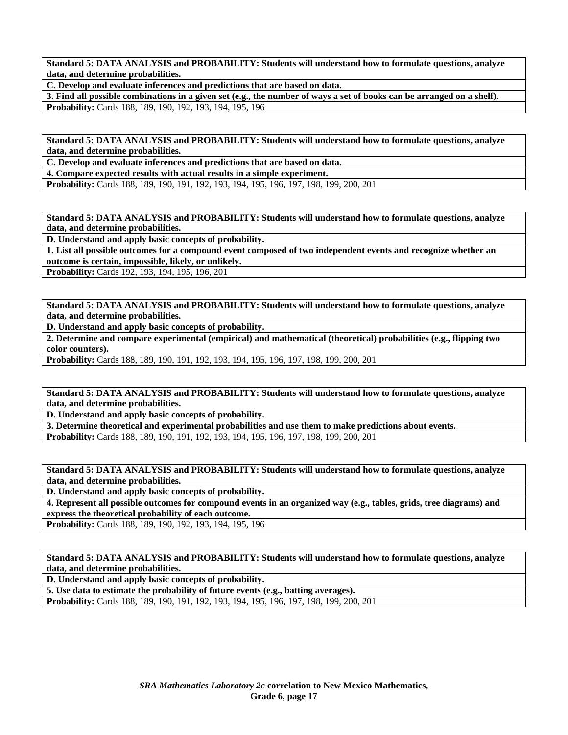**C. Develop and evaluate inferences and predictions that are based on data.** 

**3. Find all possible combinations in a given set (e.g., the number of ways a set of books can be arranged on a shelf). Probability:** Cards 188, 189, 190, 192, 193, 194, 195, 196

**Standard 5: DATA ANALYSIS and PROBABILITY: Students will understand how to formulate questions, analyze data, and determine probabilities.** 

**C. Develop and evaluate inferences and predictions that are based on data.** 

**4. Compare expected results with actual results in a simple experiment.** 

**Probability:** Cards 188, 189, 190, 191, 192, 193, 194, 195, 196, 197, 198, 199, 200, 201

**Standard 5: DATA ANALYSIS and PROBABILITY: Students will understand how to formulate questions, analyze data, and determine probabilities.** 

**D. Understand and apply basic concepts of probability.** 

**1. List all possible outcomes for a compound event composed of two independent events and recognize whether an outcome is certain, impossible, likely, or unlikely.** 

**Probability:** Cards 192, 193, 194, 195, 196, 201

**Standard 5: DATA ANALYSIS and PROBABILITY: Students will understand how to formulate questions, analyze data, and determine probabilities.** 

**D. Understand and apply basic concepts of probability.** 

**2. Determine and compare experimental (empirical) and mathematical (theoretical) probabilities (e.g., flipping two color counters).** 

**Probability:** Cards 188, 189, 190, 191, 192, 193, 194, 195, 196, 197, 198, 199, 200, 201

**Standard 5: DATA ANALYSIS and PROBABILITY: Students will understand how to formulate questions, analyze data, and determine probabilities.** 

**D. Understand and apply basic concepts of probability.** 

**3. Determine theoretical and experimental probabilities and use them to make predictions about events. Probability:** Cards 188, 189, 190, 191, 192, 193, 194, 195, 196, 197, 198, 199, 200, 201

**Standard 5: DATA ANALYSIS and PROBABILITY: Students will understand how to formulate questions, analyze data, and determine probabilities.** 

**D. Understand and apply basic concepts of probability.** 

**4. Represent all possible outcomes for compound events in an organized way (e.g., tables, grids, tree diagrams) and express the theoretical probability of each outcome.** 

**Probability:** Cards 188, 189, 190, 192, 193, 194, 195, 196

**Standard 5: DATA ANALYSIS and PROBABILITY: Students will understand how to formulate questions, analyze data, and determine probabilities.** 

**D. Understand and apply basic concepts of probability.** 

**5. Use data to estimate the probability of future events (e.g., batting averages).** 

**Probability:** Cards 188, 189, 190, 191, 192, 193, 194, 195, 196, 197, 198, 199, 200, 201